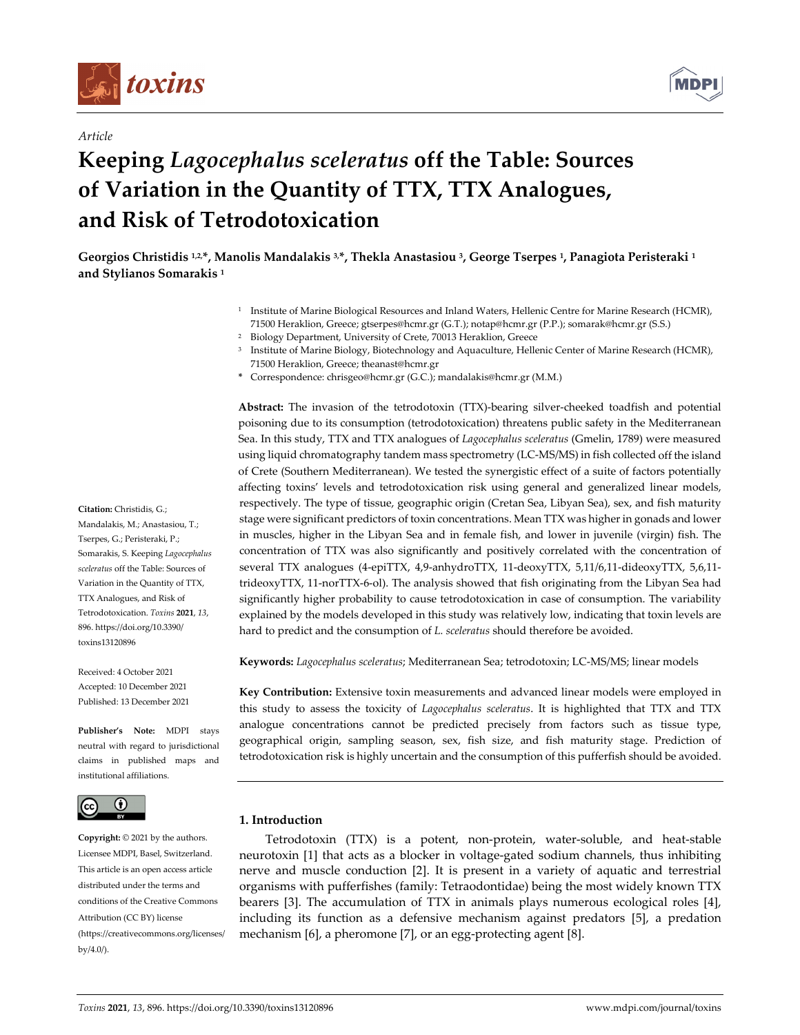

*Article*



# **Keeping** *Lagocephalus sceleratus* **off the Table: Sources of Variation in the Quantity of TTX, TTX Analogues, and Risk of Tetrodotoxication**

Georgios Christidis 1,2,\*, Manolis Mandalakis 3,\*, Thekla Anastasiou 3, George Tserpes 1, Panagiota Peristeraki 1 **and Stylianos Somarakis <sup>1</sup>**

- <sup>1</sup> Institute of Marine Biological Resources and Inland Waters, Hellenic Centre for Marine Research (HCMR), 71500 Heraklion, Greece; gtserpes@hcmr.gr (G.T.); notap@hcmr.gr (P.P.); somarak@hcmr.gr (S.S.)
- <sup>2</sup> Biology Department, University of Crete, 70013 Heraklion, Greece
- <sup>3</sup> Institute of Marine Biology, Biotechnology and Aquaculture, Hellenic Center of Marine Research (HCMR), 71500 Heraklion, Greece; theanast@hcmr.gr
- **\*** Correspondence: chrisgeo@hcmr.gr (G.C.); mandalakis@hcmr.gr (M.M.)

Abstract: The invasion of the tetrodotoxin (TTX)-bearing silver-cheeked toadfish and potential poisoning due to its consumption (tetrodotoxication) threatens public safety in the Mediterranean Sea. In this study, TTX and TTX analogues of *Lagocephalus sceleratus* (Gmelin, 1789) were measured using liquid chromatography tandem mass spectrometry (LC‐MS/MS) in fish collected off the island of Crete (Southern Mediterranean). We tested the synergistic effect of a suite of factors potentially affecting toxins' levels and tetrodotoxication risk using general and generalized linear models, respectively. The type of tissue, geographic origin (Cretan Sea, Libyan Sea), sex, and fish maturity stage were significant predictors of toxin concentrations. Mean TTX was higher in gonads and lower in muscles, higher in the Libyan Sea and in female fish, and lower in juvenile (virgin) fish. The concentration of TTX was also significantly and positively correlated with the concentration of several TTX analogues (4-epiTTX, 4,9-anhydroTTX, 11-deoxyTTX, 5,11/6,11-dideoxyTTX, 5,6,11trideoxyTTX, 11‐norTTX‐6‐ol). The analysis showed that fish originating from the Libyan Sea had significantly higher probability to cause tetrodotoxication in case of consumption. The variability explained by the models developed in this study was relatively low, indicating that toxin levels are hard to predict and the consumption of *L. sceleratus* should therefore be avoided.

**Keywords:** *Lagocephalus sceleratus*; Mediterranean Sea; tetrodotoxin; LC‐MS/MS; linear models

**Key Contribution:** Extensive toxin measurements and advanced linear models were employed in this study to assess the toxicity of *Lagocephalus sceleratus*. It is highlighted that TTX and TTX analogue concentrations cannot be predicted precisely from factors such as tissue type, geographical origin, sampling season, sex, fish size, and fish maturity stage. Prediction of tetrodotoxication risk is highly uncertain and the consumption of this pufferfish should be avoided.

## **1. Introduction**

Tetrodotoxin (TTX) is a potent, non-protein, water-soluble, and heat-stable neurotoxin [1] that acts as a blocker in voltage‐gated sodium channels, thus inhibiting nerve and muscle conduction [2]. It is present in a variety of aquatic and terrestrial organisms with pufferfishes (family: Tetraodontidae) being the most widely known TTX bearers [3]. The accumulation of TTX in animals plays numerous ecological roles [4], including its function as a defensive mechanism against predators [5], a predation mechanism [6], a pheromone [7], or an egg-protecting agent [8].

**Citation:** Christidis, G.; Mandalakis, M.; Anastasiou, T.; Tserpes, G.; Peristeraki, P.; Somarakis, S. Keeping *Lagocephalus sceleratus* off the Table: Sources of Variation in the Quantity of TTX, TTX Analogues, and Risk of Tetrodotoxication. *Toxins* **2021**, *13*, 896. https://doi.org/10.3390/ toxins13120896

Received: 4 October 2021 Accepted: 10 December 2021 Published: 13 December 2021

**Publisher's Note:** MDPI stays neutral with regard to jurisdictional claims in published maps and institutional affiliations.



**Copyright:** © 2021 by the authors. Licensee MDPI, Basel, Switzerland. This article is an open access article distributed under the terms and conditions of the Creative Commons Attribution (CC BY) license (https://creativecommons.org/licenses/ by/4.0/).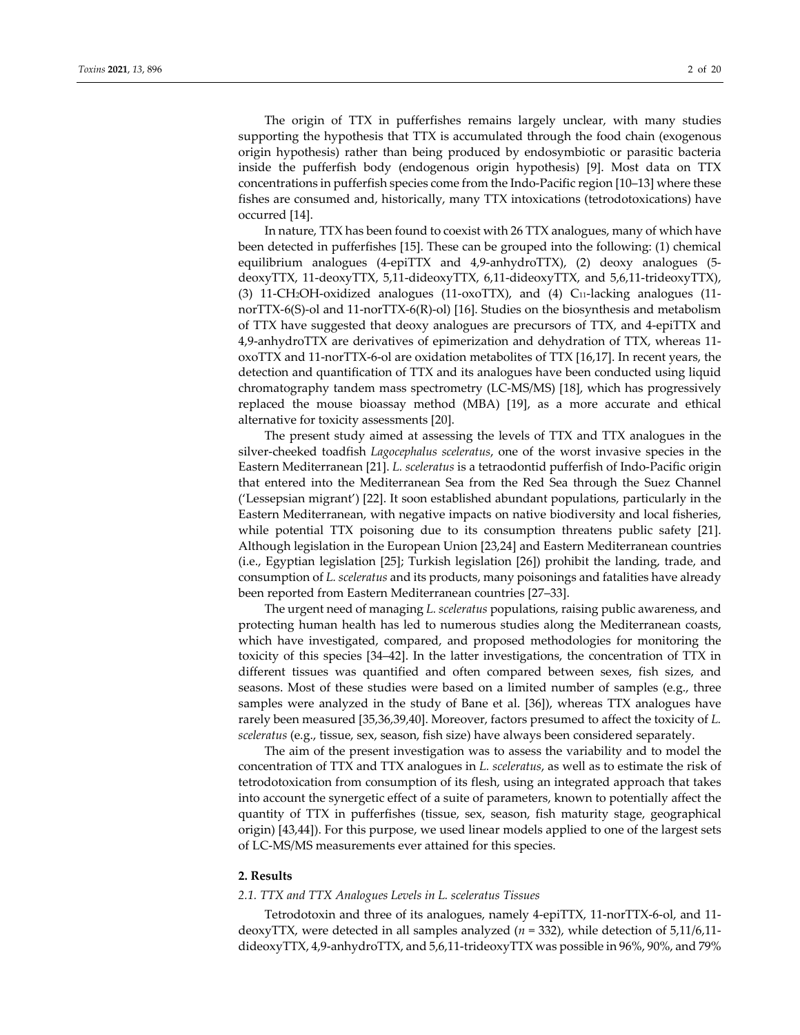The origin of TTX in pufferfishes remains largely unclear, with many studies supporting the hypothesis that TTX is accumulated through the food chain (exogenous origin hypothesis) rather than being produced by endosymbiotic or parasitic bacteria inside the pufferfish body (endogenous origin hypothesis) [9]. Most data on TTX concentrations in pufferfish species come from the Indo‐Pacific region [10–13] where these fishes are consumed and, historically, many TTX intoxications (tetrodotoxications) have occurred [14].

In nature, TTX has been found to coexist with 26 TTX analogues, many of which have been detected in pufferfishes [15]. These can be grouped into the following: (1) chemical equilibrium analogues (4-epiTTX and 4,9-anhydroTTX), (2) deoxy analogues (5deoxyTTX, 11‐deoxyTTX, 5,11‐dideoxyTTX, 6,11‐dideoxyTTX, and 5,6,11‐trideoxyTTX), (3) 11‐CH2OH‐oxidized analogues (11‐oxoTTX), and (4) C11‐lacking analogues (11‐ norTTX‐6(S)‐ol and 11‐norTTX‐6(R)‐ol) [16]. Studies on the biosynthesis and metabolism of TTX have suggested that deoxy analogues are precursors of TTX, and 4‐epiTTX and 4,9‐anhydroTTX are derivatives of epimerization and dehydration of TTX, whereas 11‐ oxoTTX and 11‐norTTX‐6‐ol are oxidation metabolites of TTX [16,17]. In recent years, the detection and quantification of TTX and its analogues have been conducted using liquid chromatography tandem mass spectrometry (LC‐MS/MS) [18], which has progressively replaced the mouse bioassay method (MBA) [19], as a more accurate and ethical alternative for toxicity assessments [20].

The present study aimed at assessing the levels of TTX and TTX analogues in the silver‐cheeked toadfish *Lagocephalus sceleratus*, one of the worst invasive species in the Eastern Mediterranean [21]. *L. sceleratus* is a tetraodontid pufferfish of Indo‐Pacific origin that entered into the Mediterranean Sea from the Red Sea through the Suez Channel ('Lessepsian migrant') [22]. It soon established abundant populations, particularly in the Eastern Mediterranean, with negative impacts on native biodiversity and local fisheries, while potential TTX poisoning due to its consumption threatens public safety [21]. Although legislation in the European Union [23,24] and Eastern Mediterranean countries (i.e., Egyptian legislation [25]; Turkish legislation [26]) prohibit the landing, trade, and consumption of *L. sceleratus* and its products, many poisonings and fatalities have already been reported from Eastern Mediterranean countries [27–33].

The urgent need of managing *L. sceleratus* populations, raising public awareness, and protecting human health has led to numerous studies along the Mediterranean coasts, which have investigated, compared, and proposed methodologies for monitoring the toxicity of this species [34–42]. In the latter investigations, the concentration of TTX in different tissues was quantified and often compared between sexes, fish sizes, and seasons. Most of these studies were based on a limited number of samples (e.g., three samples were analyzed in the study of Bane et al. [36]), whereas TTX analogues have rarely been measured [35,36,39,40]. Moreover, factors presumed to affect the toxicity of *L. sceleratus* (e.g., tissue, sex, season, fish size) have always been considered separately.

The aim of the present investigation was to assess the variability and to model the concentration of TTX and TTX analogues in *L. sceleratus*, as well as to estimate the risk of tetrodotoxication from consumption of its flesh, using an integrated approach that takes into account the synergetic effect of a suite of parameters, known to potentially affect the quantity of TTX in pufferfishes (tissue, sex, season, fish maturity stage, geographical origin) [43,44]). For this purpose, we used linear models applied to one of the largest sets of LC‐MS/MS measurements ever attained for this species.

#### **2. Results**

#### *2.1. TTX and TTX Analogues Levels in L. sceleratus Tissues*

Tetrodotoxin and three of its analogues, namely 4‐epiTTX, 11‐norTTX‐6‐ol, and 11‐ deoxyTTX, were detected in all samples analyzed (*n* = 332), while detection of 5,11/6,11‐ dideoxyTTX, 4,9‐anhydroTTX, and 5,6,11‐trideoxyTTX was possible in 96%, 90%, and 79%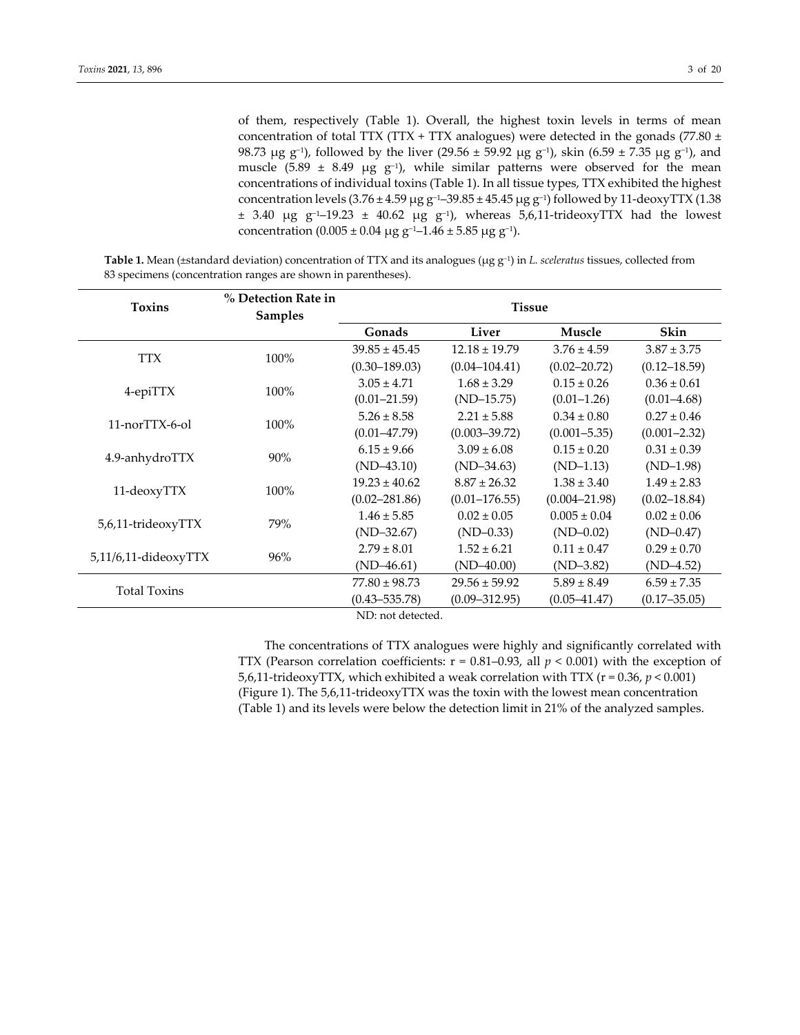of them, respectively (Table 1). Overall, the highest toxin levels in terms of mean concentration of total TTX (TTX + TTX analogues) were detected in the gonads (77.80  $\pm$ 98.73 μg g<sup>-1</sup>), followed by the liver (29.56 ± 59.92 μg g<sup>-1</sup>), skin (6.59 ± 7.35 μg g<sup>-1</sup>), and muscle (5.89 ± 8.49  $\mu$ g g<sup>-1</sup>), while similar patterns were observed for the mean concentrations of individual toxins (Table 1). In all tissue types, TTX exhibited the highest concentration levels  $(3.76 \pm 4.59 \,\mu g \,g^{-1} - 39.85 \pm 45.45 \,\mu g \,g^{-1})$  followed by 11-deoxyTTX (1.38 ± 3.40 μg g−1–19.23 ± 40.62 μg g−1), whereas 5,6,11‐trideoxyTTX had the lowest concentration (0.005 ± 0.04 μg g<sup>-1</sup>-1.46 ± 5.85 μg g<sup>-1</sup>).

**Table 1.** Mean (±standard deviation) concentration of TTX and its analogues (μg g−1) in *L. sceleratus* tissues, collected from 83 specimens (concentration ranges are shown in parentheses).

| <b>Toxins</b>        | % Detection Rate in<br><b>Samples</b> | <b>Tissue</b>            |                                    |                   |                  |  |  |
|----------------------|---------------------------------------|--------------------------|------------------------------------|-------------------|------------------|--|--|
|                      |                                       | Gonads                   | Liver                              | Muscle            | Skin             |  |  |
| <b>TTX</b>           | 100%                                  | $39.85 \pm 45.45$        | $12.18 \pm 19.79$                  | $3.76 \pm 4.59$   | $3.87 \pm 3.75$  |  |  |
|                      |                                       | $(0.30 - 189.03)$        | $(0.04 - 104.41)$                  | $(0.02 - 20.72)$  | $(0.12 - 18.59)$ |  |  |
| 4-epiTTX             | 100%                                  | $3.05 \pm 4.71$          | $1.68 \pm 3.29$                    | $0.15 \pm 0.26$   | $0.36 \pm 0.61$  |  |  |
|                      |                                       | $(0.01 - 21.59)$         | $(ND-15.75)$                       | $(0.01 - 1.26)$   | $(0.01 - 4.68)$  |  |  |
| 11-norTTX-6-ol       | 100%                                  | $5.26 \pm 8.58$          | $2.21 \pm 5.88$<br>$0.34 \pm 0.80$ |                   | $0.27 \pm 0.46$  |  |  |
|                      |                                       | $(0.01 - 47.79)$         | $(0.003 - 39.72)$                  | $(0.001 - 5.35)$  | $(0.001 - 2.32)$ |  |  |
|                      | 90%                                   | $6.15 \pm 9.66$          | $3.09 \pm 6.08$                    | $0.15 \pm 0.20$   | $0.31 \pm 0.39$  |  |  |
| 4.9-anhydroTTX       |                                       | $(ND-43.10)$             | $(ND-34.63)$                       | $(ND-1.13)$       | $(ND-1.98)$      |  |  |
|                      | 100%                                  | $19.23 \pm 40.62$        | $8.87 \pm 26.32$                   | $1.38 \pm 3.40$   | $1.49 \pm 2.83$  |  |  |
| 11-deoxyTTX          |                                       | $(0.02 - 281.86)$        | $(0.01 - 176.55)$                  | $(0.004 - 21.98)$ | $(0.02 - 18.84)$ |  |  |
|                      | 79%                                   | $1.46 \pm 5.85$          | $0.02 \pm 0.05$                    | $0.005 \pm 0.04$  | $0.02 \pm 0.06$  |  |  |
| 5,6,11-trideoxyTTX   |                                       | $(ND-32.67)$             | $(ND-0.33)$                        | $(ND-0.02)$       | $(ND-0.47)$      |  |  |
|                      | 96%                                   | $2.79 \pm 8.01$          | $1.52 \pm 6.21$                    | $0.11 \pm 0.47$   | $0.29 \pm 0.70$  |  |  |
| 5,11/6,11-dideoxyTTX |                                       | $(ND-46.61)$             | $(ND-40.00)$                       | $(ND-3.82)$       | $(ND-4.52)$      |  |  |
|                      |                                       | $77.80 \pm 98.73$        | $29.56 \pm 59.92$                  | $5.89 \pm 8.49$   | $6.59 \pm 7.35$  |  |  |
| <b>Total Toxins</b>  |                                       | $(0.43 - 535.78)$        | $(0.09 - 312.95)$                  | $(0.05 - 41.47)$  | $(0.17 - 35.05)$ |  |  |
|                      |                                       | $N_{\rm D}$ not detected |                                    |                   |                  |  |  |

ND: not detected.

The concentrations of TTX analogues were highly and significantly correlated with TΤΧ (Pearson correlation coefficients: r = 0.81–0.93, all *p* < 0.001) with the exception of 5,6,11-trideoxyTTX, which exhibited a weak correlation with TTX ( $r = 0.36$ ,  $p < 0.001$ ) (Figure 1). The 5,6,11‐trideoxyTTX was the toxin with the lowest mean concentration (Table 1) and its levels were below the detection limit in 21% of the analyzed samples.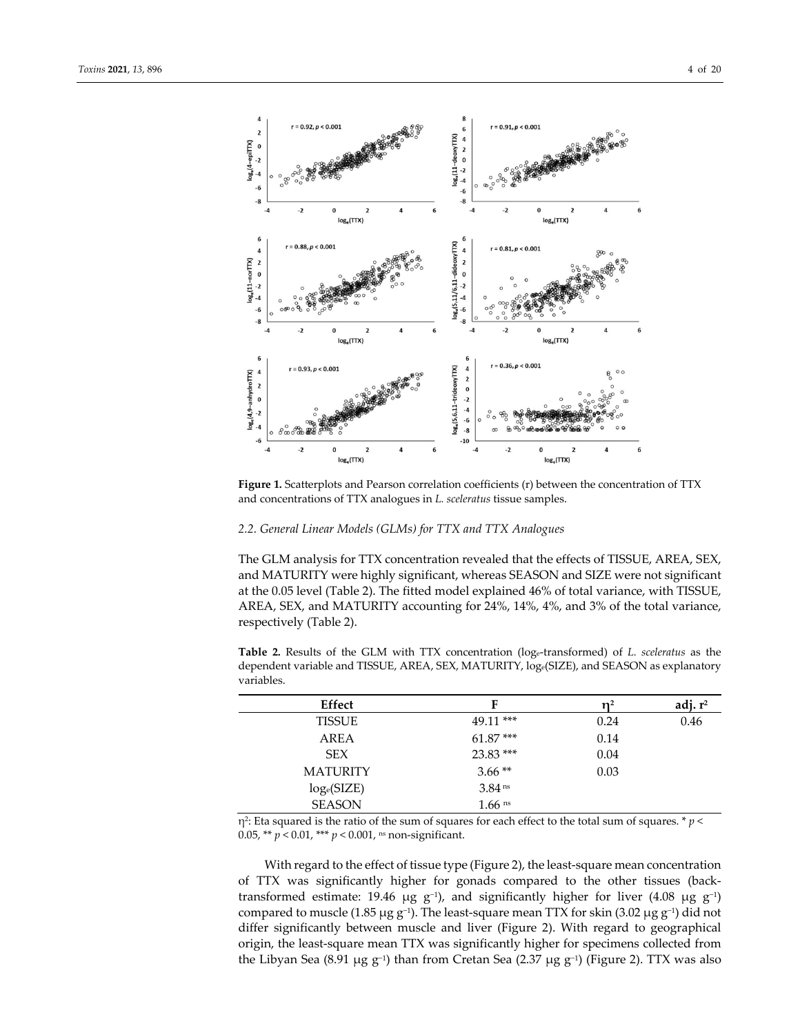

**Figure 1.** Scatterplots and Pearson correlation coefficients (r) between the concentration of TTX and concentrations of TTX analogues in *L. sceleratus* tissue samples.

## *2.2. General Linear Models (GLMs) for TTX and TTX Analogues*

The GLM analysis for TTX concentration revealed that the effects of TISSUE, AREA, SEX, and MATURITY were highly significant, whereas SEASON and SIZE were not significant at the 0.05 level (Table 2). The fitted model explained 46% of total variance, with TISSUE, AREA, SEX, and MATURITY accounting for 24%, 14%, 4%, and 3% of the total variance, respectively (Table 2).

**Table 2.** Results of the GLM with TTX concentration (loge‐transformed) of *L. sceleratus* as the dependent variable and TISSUE, AREA, SEX, MATURITY, loge(SIZE), and SEASON as explanatory variables.

| Effect          | F                    | n2   | adj. $r^2$ |
|-----------------|----------------------|------|------------|
| TISSUE          | 49.11 ***            | 0.24 | 0.46       |
| AREA            | $61.87***$           | 0.14 |            |
| <b>SEX</b>      | $23.83$ ***          | 0.04 |            |
| <b>MATURITY</b> | $3.66**$             | 0.03 |            |
| $log_e(SIZE)$   | 3.84 <sup>ns</sup>   |      |            |
| <b>SEASON</b>   | $1.66$ <sup>ns</sup> |      |            |

η<sup>2</sup>: Eta squared is the ratio of the sum of squares for each effect to the total sum of squares. \* *p* < 0.05, \*\* *p* < 0.01, \*\*\* *p* < 0.001, ns non‐significant.

With regard to the effect of tissue type (Figure 2), the least-square mean concentration of TTX was significantly higher for gonads compared to the other tissues (back‐ transformed estimate: 19.46 μg g<sup>-1</sup>), and significantly higher for liver (4.08 μg g<sup>-1</sup>) compared to muscle (1.85 μg g<sup>-1</sup>). The least-square mean TTX for skin (3.02 μg g<sup>-1</sup>) did not differ significantly between muscle and liver (Figure 2). With regard to geographical origin, the least‐square mean TTX was significantly higher for specimens collected from the Libyan Sea (8.91 μg g−1) than from Cretan Sea (2.37 μg g−1) (Figure 2). TTX was also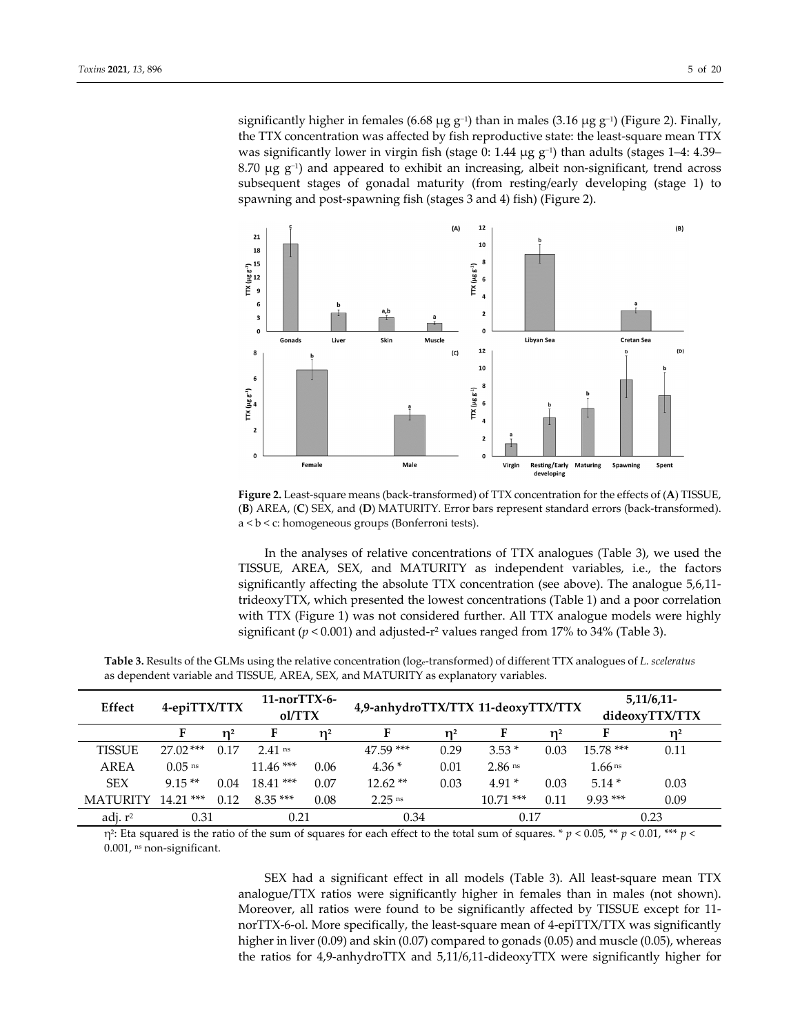significantly higher in females (6.68 μg g−1) than in males (3.16 μg g−1) (Figure 2). Finally, the TTX concentration was affected by fish reproductive state: the least-square mean TTX was significantly lower in virgin fish (stage 0: 1.44  $\mu$ g g<sup>-1</sup>) than adults (stages 1–4: 4.39– 8.70  $\mu$ g g<sup>-1</sup>) and appeared to exhibit an increasing, albeit non-significant, trend across subsequent stages of gonadal maturity (from resting/early developing (stage 1) to spawning and post‐spawning fish (stages 3 and 4) fish) (Figure 2).



**Figure 2.** Least‐square means (back‐transformed) of TTX concentration for the effects of (**A**) TISSUE, (**B**) AREA, (**C**) SEX, and (**D**) MATURITY. Error bars represent standard errors (back‐transformed). a < b < c: homogeneous groups (Bonferroni tests).

In the analyses of relative concentrations of TTX analogues (Table 3), we used the TISSUE, AREA, SEX, and MATURITY as independent variables, i.e., the factors significantly affecting the absolute TTX concentration (see above). The analogue 5,6,11‐ trideoxyTTX, which presented the lowest concentrations (Table 1) and a poor correlation with TTX (Figure 1) was not considered further. All TTX analogue models were highly significant ( $p < 0.001$ ) and adjusted-r<sup>2</sup> values ranged from 17% to 34% (Table 3).

| Effect          | 4-epiTTX/TTX         |       | $11-norTTX-6-$<br>ol/TTX |                | 4,9-anhydroTTX/TTX 11-deoxyTTX/TTX |      |                      |                | $5,11/6,11-$<br>dideoxyTTX/TTX |       |
|-----------------|----------------------|-------|--------------------------|----------------|------------------------------------|------|----------------------|----------------|--------------------------------|-------|
|                 |                      | $n^2$ | F                        | $\mathbf{n}^2$ |                                    |      |                      | $\mathbf{n}^2$ |                                | $n^2$ |
| <b>TISSUE</b>   | $27.02***$           | 0.17  | $2.41$ ns                |                | 47.59 ***                          | 0.29 | $3.53*$              | 0.03           | $15.78***$                     | 0.11  |
| <b>AREA</b>     | $0.05$ <sup>ns</sup> |       | $11.46***$               | 0.06           | $4.36*$                            | 0.01 | $2.86$ <sup>ns</sup> |                | $1.66$ ns                      |       |
| <b>SEX</b>      | $9.15**$             | 0.04  | $18.41***$               | 0.07           | $12.62**$                          | 0.03 | $4.91*$              | 0.03           | $5.14*$                        | 0.03  |
| <b>MATURITY</b> | $14.21***$           | 0.12  | $8.35***$                | 0.08           | $2.25$ <sup>ns</sup>               |      | $10.71$ ***          | 0.11           | $9.93***$                      | 0.09  |
| adj. $r^2$      | 0.31                 |       | 0.21                     |                | 0.34                               |      | 0.17                 |                |                                | 0.23  |

**Table 3.** Results of the GLMs using the relative concentration (loge‐transformed) of different TTX analogues of *L. sceleratus* as dependent variable and TISSUE, AREA, SEX, and MATURITY as explanatory variables.

η2: Eta squared is the ratio of the sum of squares for each effect to the total sum of squares. \* *p* < 0.05, \*\* *p* < 0.01, \*\*\* *p* < 0.001, ns non-significant.

> SEX had a significant effect in all models (Table 3). All least-square mean TTX analogue/TTX ratios were significantly higher in females than in males (not shown). Moreover, all ratios were found to be significantly affected by TISSUE except for 11‐ norTTX-6-ol. More specifically, the least-square mean of 4-epiTTX/TTX was significantly higher in liver (0.09) and skin (0.07) compared to gonads (0.05) and muscle (0.05), whereas the ratios for 4,9‐anhydroTTX and 5,11/6,11‐dideoxyTTX were significantly higher for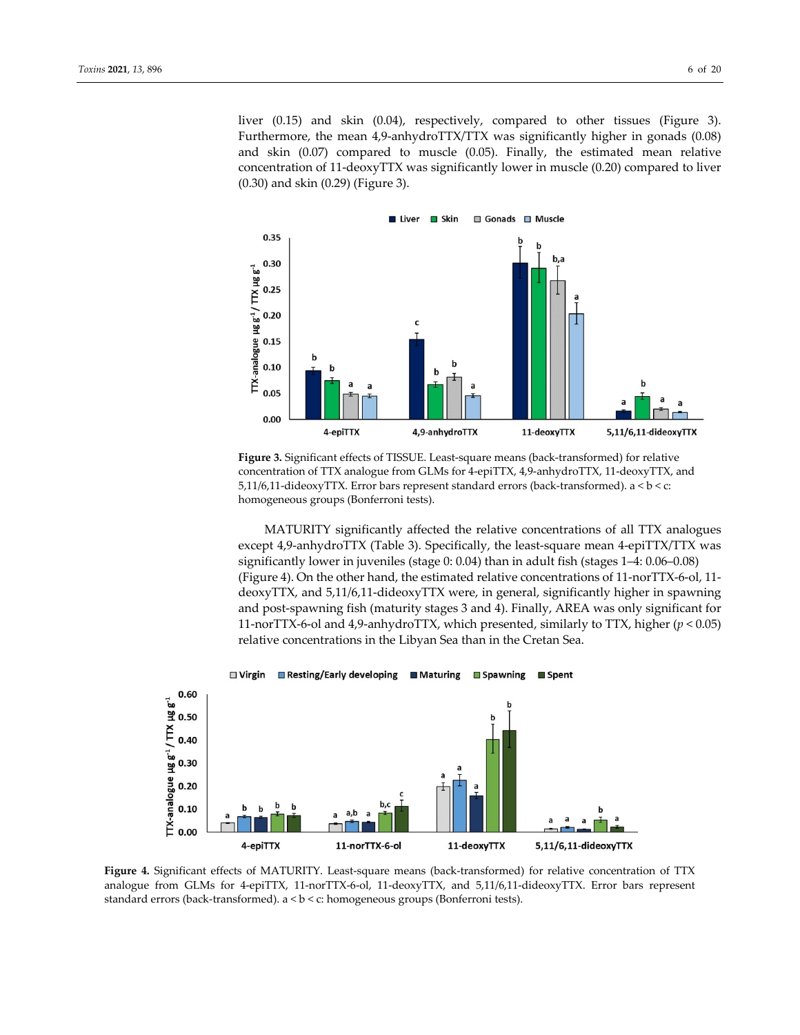liver (0.15) and skin (0.04), respectively, compared to other tissues (Figure 3). Furthermore, the mean 4,9-anhydroTTX/TTX was significantly higher in gonads (0.08) and skin  $(0.07)$  compared to muscle  $(0.05)$ . Finally, the estimated mean relative concentration of 11‐deoxyTTX was significantly lower in muscle (0.20) compared to liver (0.30) and skin (0.29) (Figure 3).



Figure 3. Significant effects of TISSUE. Least-square means (back-transformed) for relative concentration of TTX analogue from GLMs for 4‐epiTTX, 4,9‐anhydroTTX, 11‐deoxyTTX, and 5,11/6,11-dideoxyTTX. Error bars represent standard errors (back-transformed).  $a < b < c$ : homogeneous groups (Bonferroni tests).

MATURITY significantly affected the relative concentrations of all TTX analogues except 4,9-anhydroTTX (Table 3). Specifically, the least-square mean 4-epiTTX/TTX was significantly lower in juveniles (stage 0: 0.04) than in adult fish (stages 1–4: 0.06–0.08) (Figure 4). On the other hand, the estimated relative concentrations of 11‐norTTX‐6‐ol, 11‐ deoxyTTX, and 5,11/6,11‐dideoxyTTX were, in general, significantly higher in spawning and post‐spawning fish (maturity stages 3 and 4). Finally, AREA was only significant for 11‐norTTX‐6‐ol and 4,9‐anhydroTTX, which presented, similarly to TTX, higher (*p* < 0.05) relative concentrations in the Libyan Sea than in the Cretan Sea.



Figure 4. Significant effects of MATURITY. Least-square means (back-transformed) for relative concentration of TTX analogue from GLMs for 4‐epiTTX, 11‐norTTX‐6‐ol, 11‐deoxyTTX, and 5,11/6,11‐dideoxyTTX. Error bars represent standard errors (back‐transformed). a < b < c: homogeneous groups (Bonferroni tests).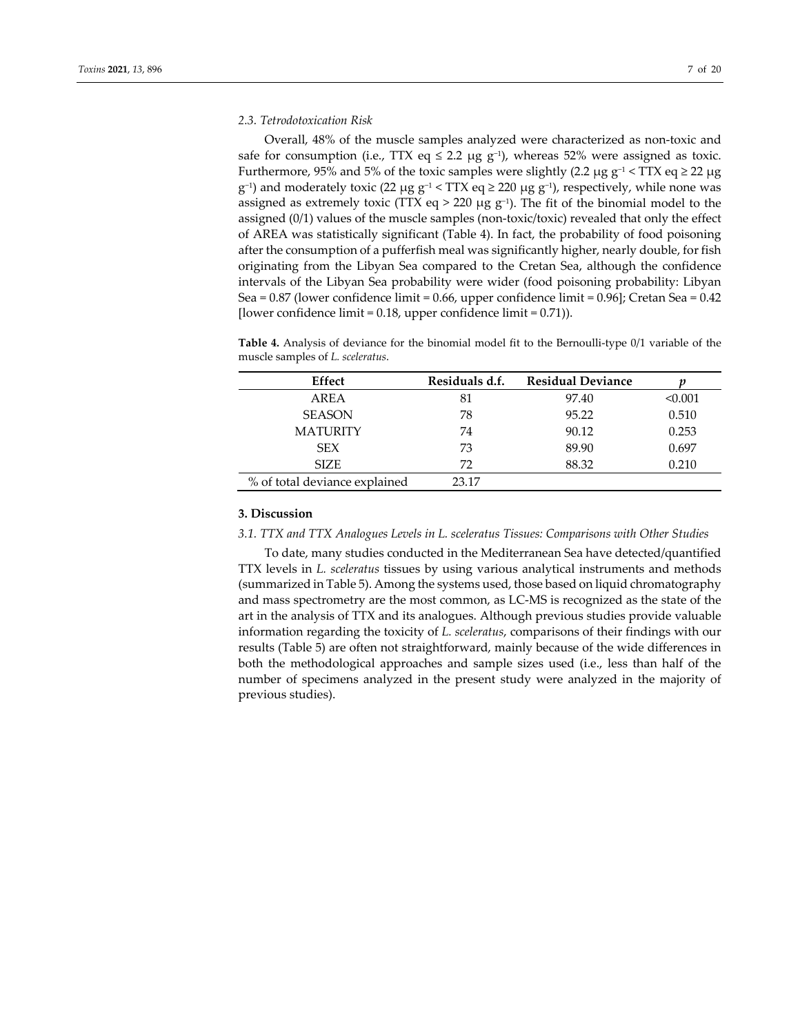## *2.3. Tetrodotoxication Risk*

Overall, 48% of the muscle samples analyzed were characterized as non‐toxic and safe for consumption (i.e., TTX eq  $\leq$  2.2  $\mu$ g g<sup>-1</sup>), whereas 52% were assigned as toxic. Furthermore, 95% and 5% of the toxic samples were slightly (2.2 μg g<sup>-1</sup> < TTX eq ≥ 22 μg g<sup>-1</sup>) and moderately toxic (22 μg g<sup>-1</sup> < TTX eq ≥ 220 μg g<sup>-1</sup>), respectively, while none was assigned as extremely toxic (TTX eq > 220 µg  $g^{-1}$ ). The fit of the binomial model to the assigned (0/1) values of the muscle samples (non-toxic/toxic) revealed that only the effect of AREA was statistically significant (Table 4). In fact, the probability of food poisoning after the consumption of a pufferfish meal was significantly higher, nearly double, for fish originating from the Libyan Sea compared to the Cretan Sea, although the confidence intervals of the Libyan Sea probability were wider (food poisoning probability: Libyan Sea = 0.87 (lower confidence limit = 0.66, upper confidence limit = 0.96]; Cretan Sea = 0.42 [lower confidence limit = 0.18, upper confidence limit = 0.71)).

**Table 4.** Analysis of deviance for the binomial model fit to the Bernoulli‐type 0/1 variable of the muscle samples of *L. sceleratus*.

| Effect                        | Residuals d.f. | <b>Residual Deviance</b> |         |
|-------------------------------|----------------|--------------------------|---------|
| AREA                          | 81             | 97.40                    | < 0.001 |
| <b>SEASON</b>                 | 78             | 95.22                    | 0.510   |
| <b>MATURITY</b>               | 74             | 90.12                    | 0.253   |
| <b>SEX</b>                    | 73             | 89.90                    | 0.697   |
| <b>SIZE</b>                   | 72             | 88.32                    | 0.210   |
| % of total deviance explained | 23.17          |                          |         |

## **3. Discussion**

*3.1. TTX and TTX Analogues Levels in L. sceleratus Tissues: Comparisons with Other Studies*

To date, many studies conducted in the Mediterranean Sea have detected/quantified TTX levels in *L. sceleratus* tissues by using various analytical instruments and methods (summarized in Table 5). Among the systems used, those based on liquid chromatography and mass spectrometry are the most common, as LC‐MS is recognized as the state of the art in the analysis of TTX and its analogues. Although previous studies provide valuable information regarding the toxicity of *L. sceleratus*, comparisons of their findings with our results (Table 5) are often not straightforward, mainly because of the wide differences in both the methodological approaches and sample sizes used (i.e., less than half of the number of specimens analyzed in the present study were analyzed in the majority of previous studies).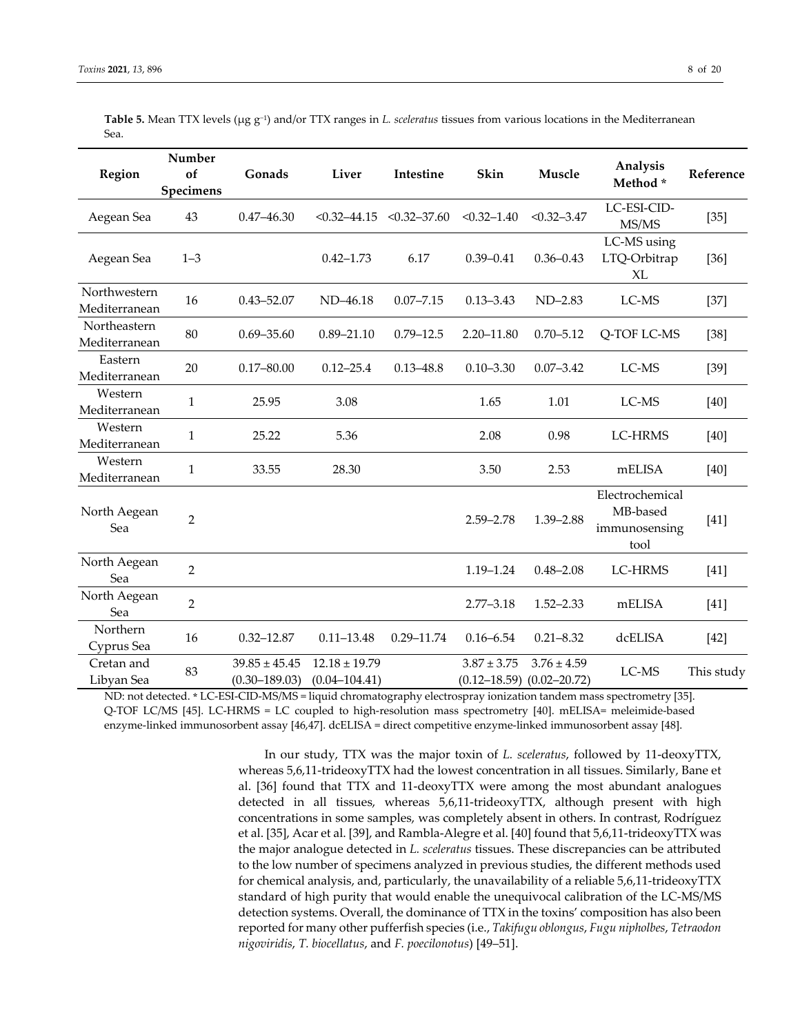| <b>Region</b>                 | Number<br>of<br>Specimens | Gonads                                 | Liver                                  | Intestine        | Skin                                | Muscle                              | Analysis<br>Method*                                  | Reference  |
|-------------------------------|---------------------------|----------------------------------------|----------------------------------------|------------------|-------------------------------------|-------------------------------------|------------------------------------------------------|------------|
| Aegean Sea                    | 43                        | $0.47 - 46.30$                         | $< 0.32 - 44.15$                       | $< 0.32 - 37.60$ | $< 0.32 - 1.40$                     | $< 0.32 - 3.47$                     | LC-ESI-CID-<br>MS/MS                                 | $[35]$     |
| Aegean Sea                    | $1 - 3$                   |                                        | $0.42 - 1.73$                          | 6.17             | $0.39 - 0.41$                       | $0.36 - 0.43$                       | LC-MS using<br>LTQ-Orbitrap<br>XL                    | $[36]$     |
| Northwestern<br>Mediterranean | 16                        | $0.43 - 52.07$                         | ND-46.18                               | $0.07 - 7.15$    | $0.13 - 3.43$                       | $ND-2.83$                           | LC-MS                                                | $[37]$     |
| Northeastern<br>Mediterranean | 80                        | $0.69 - 35.60$                         | $0.89 - 21.10$                         | $0.79 - 12.5$    | 2.20-11.80                          | $0.70 - 5.12$                       | Q-TOF LC-MS                                          | $[38]$     |
| Eastern<br>Mediterranean      | 20                        | $0.17 - 80.00$                         | $0.12 - 25.4$                          | $0.13 - 48.8$    | $0.10 - 3.30$                       | $0.07 - 3.42$                       | LC-MS                                                | $[39]$     |
| Western<br>Mediterranean      | $\mathbf{1}$              | 25.95                                  | 3.08                                   |                  | 1.65                                | 1.01                                | LC-MS                                                | $[40]$     |
| Western<br>Mediterranean      | $\mathbf{1}$              | 25.22                                  | 5.36                                   |                  | 2.08                                | 0.98                                | LC-HRMS                                              | $[40]$     |
| Western<br>Mediterranean      | 1                         | 33.55                                  | 28.30                                  |                  | 3.50                                | 2.53                                | mELISA                                               | $[40]$     |
| North Aegean<br>Sea           | $\overline{2}$            |                                        |                                        |                  | $2.59 - 2.78$                       | 1.39-2.88                           | Electrochemical<br>MB-based<br>immunosensing<br>tool | $[41]$     |
| North Aegean<br>Sea           | $\overline{2}$            |                                        |                                        |                  | 1.19 - 1.24                         | $0.48 - 2.08$                       | LC-HRMS                                              | $[41]$     |
| North Aegean<br>Sea           | $\overline{2}$            |                                        |                                        |                  | $2.77 - 3.18$                       | $1.52 - 2.33$                       | mELISA                                               | $[41]$     |
| Northern<br>Cyprus Sea        | 16                        | $0.32 - 12.87$                         | $0.11 - 13.48$                         | $0.29 - 11.74$   | $0.16 - 6.54$                       | $0.21 - 8.32$                       | dcELISA                                              | $[42]$     |
| Cretan and<br>Libyan Sea      | 83                        | $39.85 \pm 45.45$<br>$(0.30 - 189.03)$ | $12.18 \pm 19.79$<br>$(0.04 - 104.41)$ |                  | $3.87 \pm 3.75$<br>$(0.12 - 18.59)$ | $3.76 \pm 4.59$<br>$(0.02 - 20.72)$ | LC-MS                                                | This study |

**Table 5.** Mean TTX levels (μg g−1) and/or TTX ranges in *L. sceleratus* tissues from various locations in the Mediterranean Sea.

ND: not detected. **\*** LC‐ESI‐CID‐MS/MS = liquid chromatography electrospray ionization tandem mass spectrometry [35]. Q-TOF LC/MS [45]. LC-HRMS = LC coupled to high-resolution mass spectrometry [40]. mELISA= meleimide-based enzyme‐linked immunosorbent assay [46,47]. dcELISA = direct competitive enzyme‐linked immunosorbent assay [48].

> In our study, TTX was the major toxin of *L. sceleratus*, followed by 11‐deoxyTTX, whereas 5,6,11-trideoxyTTX had the lowest concentration in all tissues. Similarly, Bane et al. [36] found that TTX and 11‐deoxyTTX were among the most abundant analogues detected in all tissues, whereas 5,6,11‐trideoxyTTX, although present with high concentrations in some samples, was completely absent in others. In contrast, Rodríguez et al. [35], Acar et al. [39], and Rambla‐Alegre et al. [40] found that 5,6,11‐trideoxyTTX was the major analogue detected in *L. sceleratus* tissues. These discrepancies can be attributed to the low number of specimens analyzed in previous studies, the different methods used for chemical analysis, and, particularly, the unavailability of a reliable 5,6,11-trideoxyTTX standard of high purity that would enable the unequivocal calibration of the LC‐MS/MS detection systems. Overall, the dominance of TTX in the toxins' composition has also been reported for many other pufferfish species (i.e., *Takifugu oblongus*, *Fugu nipholbes*, *Tetraodon nigoviridis*, *T. biocellatus*, and *F. poecilonotus*) [49–51].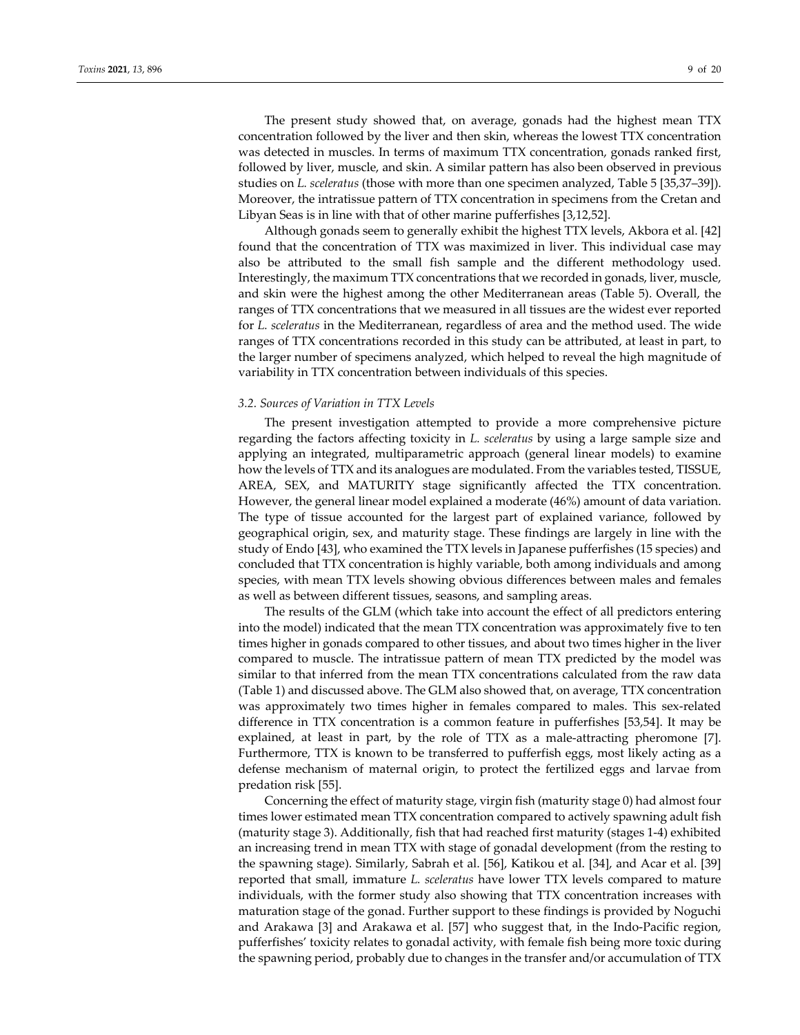The present study showed that, on average, gonads had the highest mean TTX concentration followed by the liver and then skin, whereas the lowest TTX concentration was detected in muscles. In terms of maximum TTX concentration, gonads ranked first, followed by liver, muscle, and skin. A similar pattern has also been observed in previous studies on *L. sceleratus* (those with more than one specimen analyzed, Table 5 [35,37–39]). Moreover, the intratissue pattern of TTX concentration in specimens from the Cretan and Libyan Seas is in line with that of other marine pufferfishes [3,12,52].

Although gonads seem to generally exhibit the highest TTX levels, Akbora et al. [42] found that the concentration of TTX was maximized in liver. This individual case may also be attributed to the small fish sample and the different methodology used. Interestingly, the maximum TTX concentrations that we recorded in gonads, liver, muscle, and skin were the highest among the other Mediterranean areas (Table 5). Overall, the ranges of TTX concentrations that we measured in all tissues are the widest ever reported for *L. sceleratus* in the Mediterranean, regardless of area and the method used. The wide ranges of TTX concentrations recorded in this study can be attributed, at least in part, to the larger number of specimens analyzed, which helped to reveal the high magnitude of variability in TTX concentration between individuals of this species.

### *3.2. Sources of Variation in TTX Levels*

The present investigation attempted to provide a more comprehensive picture regarding the factors affecting toxicity in *L. sceleratus* by using a large sample size and applying an integrated, multiparametric approach (general linear models) to examine how the levels of TTX and its analogues are modulated. From the variables tested, TISSUE, AREA, SEX, and MATURITY stage significantly affected the TTX concentration. However, the general linear model explained a moderate (46%) amount of data variation. The type of tissue accounted for the largest part of explained variance, followed by geographical origin, sex, and maturity stage. These findings are largely in line with the study of Endo [43], who examined the TTX levels in Japanese pufferfishes (15 species) and concluded that TTX concentration is highly variable, both among individuals and among species, with mean TTX levels showing obvious differences between males and females as well as between different tissues, seasons, and sampling areas.

The results of the GLM (which take into account the effect of all predictors entering into the model) indicated that the mean TTX concentration was approximately five to ten times higher in gonads compared to other tissues, and about two times higher in the liver compared to muscle. The intratissue pattern of mean TTX predicted by the model was similar to that inferred from the mean TTX concentrations calculated from the raw data (Table 1) and discussed above. The GLM also showed that, on average, TTX concentration was approximately two times higher in females compared to males. This sex-related difference in TTX concentration is a common feature in pufferfishes [53,54]. It may be explained, at least in part, by the role of TTX as a male-attracting pheromone [7]. Furthermore, TTX is known to be transferred to pufferfish eggs, most likely acting as a defense mechanism of maternal origin, to protect the fertilized eggs and larvae from predation risk [55].

Concerning the effect of maturity stage, virgin fish (maturity stage 0) had almost four times lower estimated mean TTX concentration compared to actively spawning adult fish (maturity stage 3). Additionally, fish that had reached first maturity (stages 1‐4) exhibited an increasing trend in mean TTX with stage of gonadal development (from the resting to the spawning stage). Similarly, Sabrah et al. [56], Katikou et al. [34], and Acar et al. [39] reported that small, immature *L. sceleratus* have lower TTX levels compared to mature individuals, with the former study also showing that TTX concentration increases with maturation stage of the gonad. Further support to these findings is provided by Noguchi and Arakawa [3] and Arakawa et al. [57] who suggest that, in the Indo‐Pacific region, pufferfishes' toxicity relates to gonadal activity, with female fish being more toxic during the spawning period, probably due to changes in the transfer and/or accumulation of TTX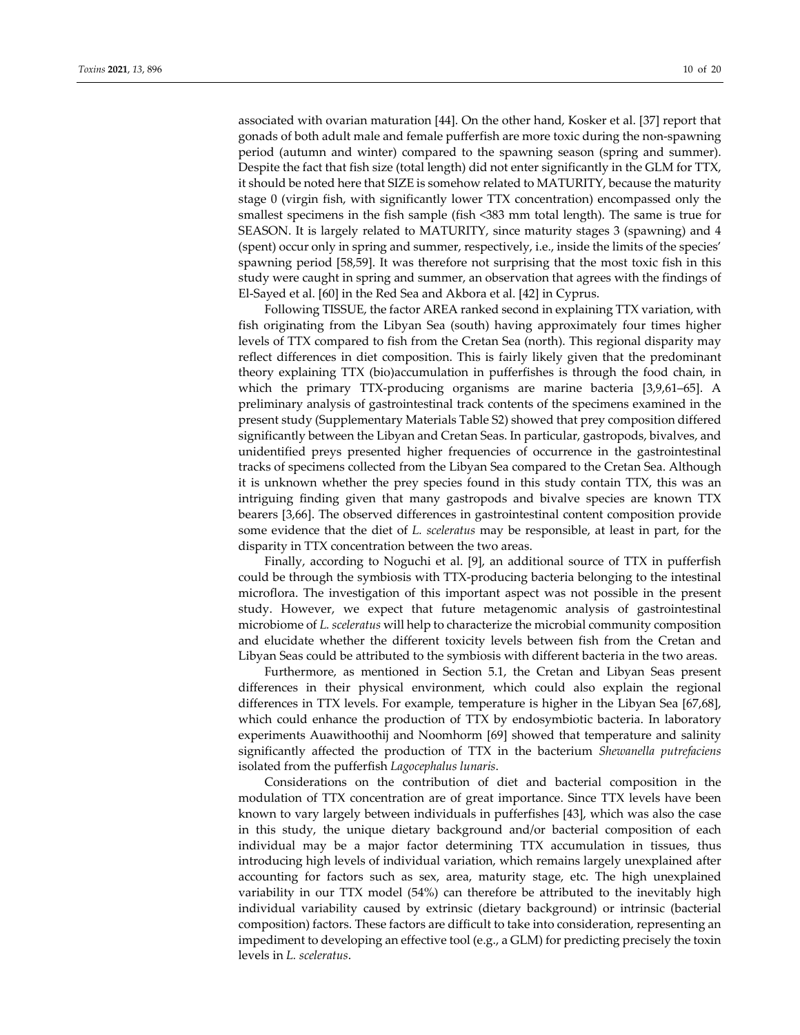associated with ovarian maturation [44]. On the other hand, Kosker et al. [37] report that gonads of both adult male and female pufferfish are more toxic during the non‐spawning period (autumn and winter) compared to the spawning season (spring and summer). Despite the fact that fish size (total length) did not enter significantly in the GLM for TTX, it should be noted here that SIZE is somehow related to MATURITY, because the maturity stage 0 (virgin fish, with significantly lower TTX concentration) encompassed only the smallest specimens in the fish sample (fish <383 mm total length). The same is true for SEASON. It is largely related to MATURITY, since maturity stages 3 (spawning) and 4 (spent) occur only in spring and summer, respectively, i.e., inside the limits of the species' spawning period [58,59]. It was therefore not surprising that the most toxic fish in this study were caught in spring and summer, an observation that agrees with the findings of El‐Sayed et al. [60] in the Red Sea and Akbora et al. [42] in Cyprus.

Following TISSUE, the factor AREA ranked second in explaining TTX variation, with fish originating from the Libyan Sea (south) having approximately four times higher levels of TTX compared to fish from the Cretan Sea (north). This regional disparity may reflect differences in diet composition. This is fairly likely given that the predominant theory explaining TTX (bio)accumulation in pufferfishes is through the food chain, in which the primary TTX‐producing organisms are marine bacteria [3,9,61–65]. A preliminary analysis of gastrointestinal track contents of the specimens examined in the present study (Supplementary Materials Table S2) showed that prey composition differed significantly between the Libyan and Cretan Seas. In particular, gastropods, bivalves, and unidentified preys presented higher frequencies of occurrence in the gastrointestinal tracks of specimens collected from the Libyan Sea compared to the Cretan Sea. Although it is unknown whether the prey species found in this study contain TTX, this was an intriguing finding given that many gastropods and bivalve species are known TTX bearers [3,66]. The observed differences in gastrointestinal content composition provide some evidence that the diet of *L. sceleratus* may be responsible, at least in part, for the disparity in TTX concentration between the two areas.

Finally, according to Noguchi et al. [9], an additional source of TTX in pufferfish could be through the symbiosis with TTX‐producing bacteria belonging to the intestinal microflora. The investigation of this important aspect was not possible in the present study. However, we expect that future metagenomic analysis of gastrointestinal microbiome of *L. sceleratus* will help to characterize the microbial community composition and elucidate whether the different toxicity levels between fish from the Cretan and Libyan Seas could be attributed to the symbiosis with different bacteria in the two areas.

Furthermore, as mentioned in Section 5.1, the Cretan and Libyan Seas present differences in their physical environment, which could also explain the regional differences in TTX levels. For example, temperature is higher in the Libyan Sea [67,68], which could enhance the production of TTX by endosymbiotic bacteria. In laboratory experiments Auawithoothij and Noomhorm [69] showed that temperature and salinity significantly affected the production of TTX in the bacterium *Shewanella putrefaciens* isolated from the pufferfish *Lagocephalus lunaris*.

Considerations on the contribution of diet and bacterial composition in the modulation of TTX concentration are of great importance. Since TTX levels have been known to vary largely between individuals in pufferfishes [43], which was also the case in this study, the unique dietary background and/or bacterial composition of each individual may be a major factor determining TTX accumulation in tissues, thus introducing high levels of individual variation, which remains largely unexplained after accounting for factors such as sex, area, maturity stage, etc. The high unexplained variability in our TTX model (54%) can therefore be attributed to the inevitably high individual variability caused by extrinsic (dietary background) or intrinsic (bacterial composition) factors. These factors are difficult to take into consideration, representing an impediment to developing an effective tool (e.g., a GLM) for predicting precisely the toxin levels in *L. sceleratus*.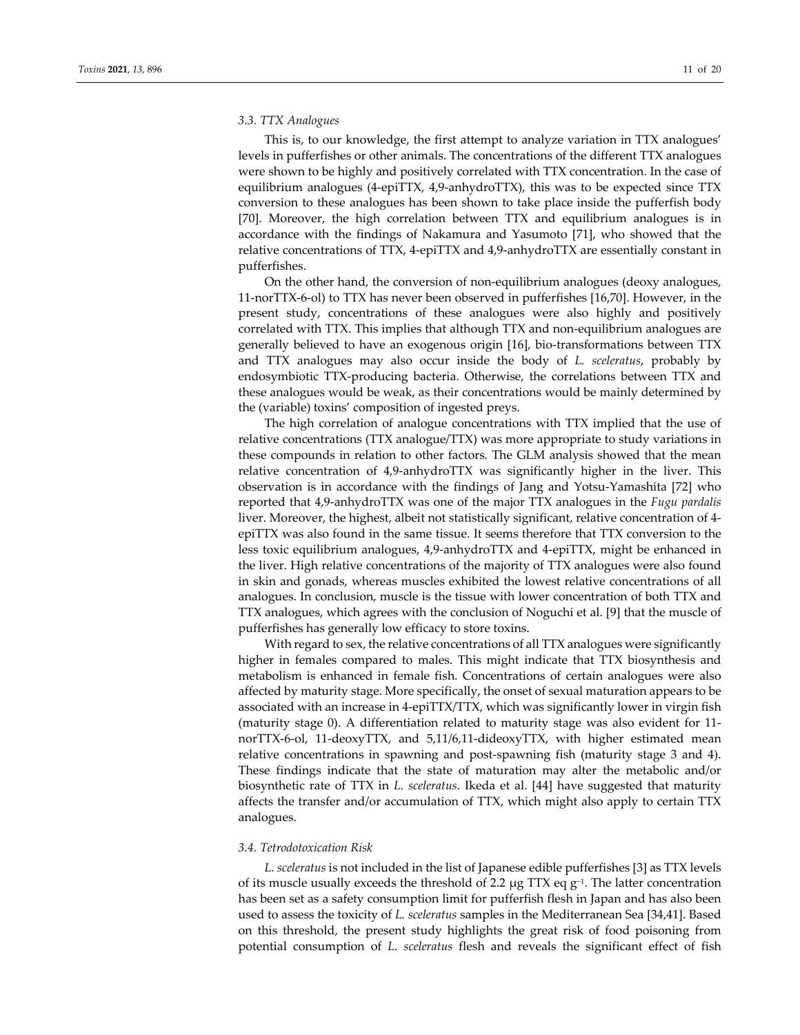### *3.3. TTX Analogues*

This is, to our knowledge, the first attempt to analyze variation in TTX analogues' levels in pufferfishes or other animals. The concentrations of the different TTX analogues were shown to be highly and positively correlated with TTX concentration. In the case of equilibrium analogues (4‐epiTTX, 4,9‐anhydroTTX), this was to be expected since ΤΤΧ conversion to these analogues has been shown to take place inside the pufferfish body [70]. Moreover, the high correlation between TTX and equilibrium analogues is in accordance with the findings of Nakamura and Yasumoto [71], who showed that the relative concentrations of TTX, 4‐epiTTX and 4,9‐anhydroTTX are essentially constant in pufferfishes.

On the other hand, the conversion of non-equilibrium analogues (deoxy analogues, 11‐norTTX‐6‐ol) to TTX has never been observed in pufferfishes [16,70]. However, in the present study, concentrations of these analogues were also highly and positively correlated with TTX. This implies that although TTX and non‐equilibrium analogues are generally believed to have an exogenous origin [16], bio‐transformations between TTX and TTX analogues may also occur inside the body of *L. sceleratus*, probably by endosymbiotic TTX-producing bacteria. Otherwise, the correlations between TTX and these analogues would be weak, as their concentrations would be mainly determined by the (variable) toxins' composition of ingested preys.

The high correlation of analogue concentrations with TTX implied that the use of relative concentrations (TTX analogue/TTX) was more appropriate to study variations in these compounds in relation to other factors. The GLM analysis showed that the mean relative concentration of 4,9‐anhydroTTX was significantly higher in the liver. This observation is in accordance with the findings of Jang and Yotsu‐Yamashita [72] who reported that 4,9‐anhydroTTX was one of the major TTX analogues in the *Fugu pardalis* liver. Moreover, the highest, albeit not statistically significant, relative concentration of 4‐ epiTTX was also found in the same tissue. It seems therefore that TTX conversion to the less toxic equilibrium analogues, 4,9‐anhydroTTX and 4‐epiTTX, might be enhanced in the liver. High relative concentrations of the majority of TTX analogues were also found in skin and gonads, whereas muscles exhibited the lowest relative concentrations of all analogues. In conclusion, muscle is the tissue with lower concentration of both TTX and TTX analogues, which agrees with the conclusion of Noguchi et al. [9] that the muscle of pufferfishes has generally low efficacy to store toxins.

With regard to sex, the relative concentrations of all TTX analogues were significantly higher in females compared to males. This might indicate that TTX biosynthesis and metabolism is enhanced in female fish. Concentrations of certain analogues were also affected by maturity stage. More specifically, the onset of sexual maturation appears to be associated with an increase in 4‐epiTTX/TTX, which was significantly lower in virgin fish (maturity stage 0). A differentiation related to maturity stage was also evident for 11‐ norTTX‐6‐ol, 11‐deoxyTTX, and 5,11/6,11‐dideoxyTTX, with higher estimated mean relative concentrations in spawning and post‐spawning fish (maturity stage 3 and 4). These findings indicate that the state of maturation may alter the metabolic and/or biosynthetic rate of TTX in *L. sceleratus*. Ikeda et al. [44] have suggested that maturity affects the transfer and/or accumulation of TTX, which might also apply to certain TTX analogues.

#### *3.4. Tetrodotoxication Risk*

*L. sceleratus* is not included in the list of Japanese edible pufferfishes [3] as TTX levels of its muscle usually exceeds the threshold of 2.2 μg TTX eq g<sup>-1</sup>. The latter concentration has been set as a safety consumption limit for pufferfish flesh in Japan and has also been used to assess the toxicity of *L. sceleratus* samples in the Mediterranean Sea [34,41]. Based on this threshold, the present study highlights the great risk of food poisoning from potential consumption of *L. sceleratus* flesh and reveals the significant effect of fish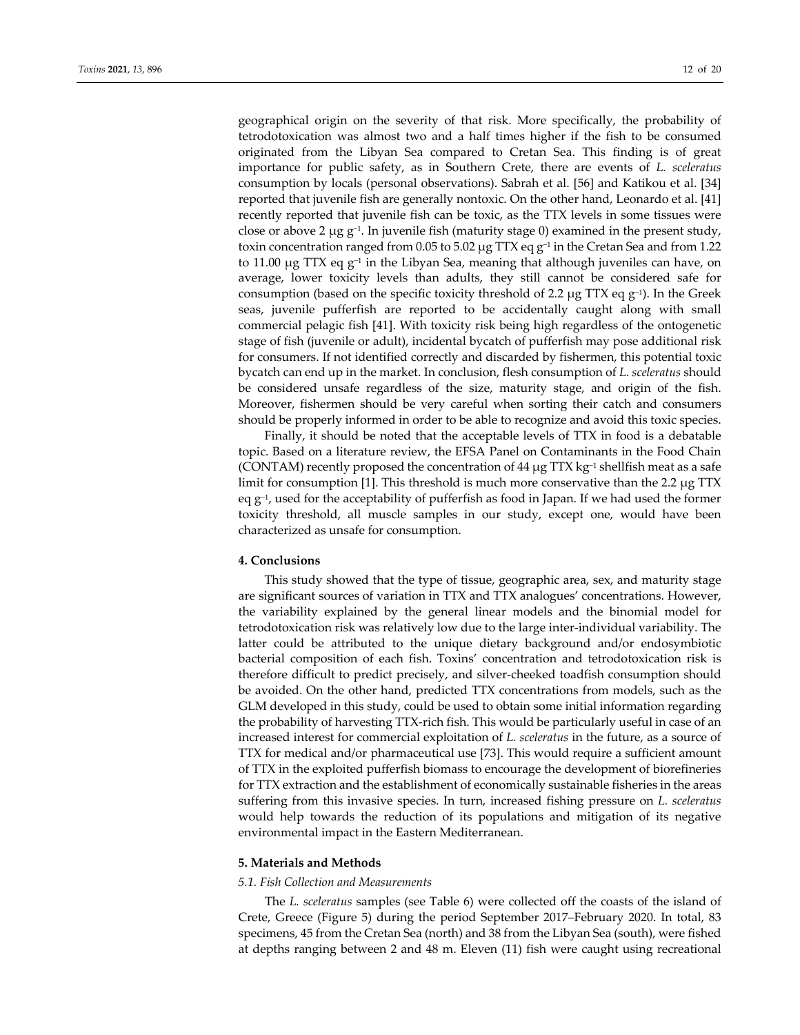geographical origin on the severity of that risk. More specifically, the probability of tetrodotoxication was almost two and a half times higher if the fish to be consumed originated from the Libyan Sea compared to Cretan Sea. This finding is of great importance for public safety, as in Southern Crete, there are events of *L. sceleratus* consumption by locals (personal observations). Sabrah et al. [56] and Katikou et al. [34] reported that juvenile fish are generally nontoxic. On the other hand, Leonardo et al. [41] recently reported that juvenile fish can be toxic, as the TTX levels in some tissues were close or above 2 μg  $g^{-1}$ . In juvenile fish (maturity stage 0) examined in the present study, toxin concentration ranged from 0.05 to 5.02 μg TTX eq g−<sup>1</sup> in the Cretan Sea and from 1.22 to 11.00 μg TTX eq  $g^{-1}$  in the Libyan Sea, meaning that although juveniles can have, on average, lower toxicity levels than adults, they still cannot be considered safe for consumption (based on the specific toxicity threshold of 2.2 μg TTX eq g<sup>-1</sup>). In the Greek seas, juvenile pufferfish are reported to be accidentally caught along with small commercial pelagic fish [41]. With toxicity risk being high regardless of the ontogenetic stage of fish (juvenile or adult), incidental bycatch of pufferfish may pose additional risk for consumers. If not identified correctly and discarded by fishermen, this potential toxic bycatch can end up in the market. In conclusion, flesh consumption of *L. sceleratus* should be considered unsafe regardless of the size, maturity stage, and origin of the fish. Moreover, fishermen should be very careful when sorting their catch and consumers should be properly informed in order to be able to recognize and avoid this toxic species.

Finally, it should be noted that the acceptable levels of TTX in food is a debatable topic. Based on a literature review, the EFSA Panel on Contaminants in the Food Chain (CONTAM) recently proposed the concentration of 44  $\mu$ g TTX kg<sup>-1</sup> shellfish meat as a safe limit for consumption [1]. This threshold is much more conservative than the 2.2 μg TTX eq  $g^{-1}$ , used for the acceptability of pufferfish as food in Japan. If we had used the former toxicity threshold, all muscle samples in our study, except one, would have been characterized as unsafe for consumption.

## **4. Conclusions**

This study showed that the type of tissue, geographic area, sex, and maturity stage are significant sources of variation in TTX and TTX analogues' concentrations. However, the variability explained by the general linear models and the binomial model for tetrodotoxication risk was relatively low due to the large inter‐individual variability. The latter could be attributed to the unique dietary background and/or endosymbiotic bacterial composition of each fish. Toxins' concentration and tetrodotoxication risk is therefore difficult to predict precisely, and silver‐cheeked toadfish consumption should be avoided. On the other hand, predicted TTX concentrations from models, such as the GLM developed in this study, could be used to obtain some initial information regarding the probability of harvesting TTX‐rich fish. This would be particularly useful in case of an increased interest for commercial exploitation of *L. sceleratus* in the future, as a source of TTX for medical and/or pharmaceutical use [73]. This would require a sufficient amount of TTX in the exploited pufferfish biomass to encourage the development of biorefineries for TTX extraction and the establishment of economically sustainable fisheries in the areas suffering from this invasive species. In turn, increased fishing pressure on *L. sceleratus* would help towards the reduction of its populations and mitigation of its negative environmental impact in the Eastern Mediterranean.

## **5. Materials and Methods**

#### *5.1. Fish Collection and Measurements*

The *L. sceleratus* samples (see Table 6) were collected off the coasts of the island of Crete, Greece (Figure 5) during the period September 2017–February 2020. In total, 83 specimens, 45 from the Cretan Sea (north) and 38 from the Libyan Sea (south), were fished at depths ranging between 2 and 48 m. Eleven (11) fish were caught using recreational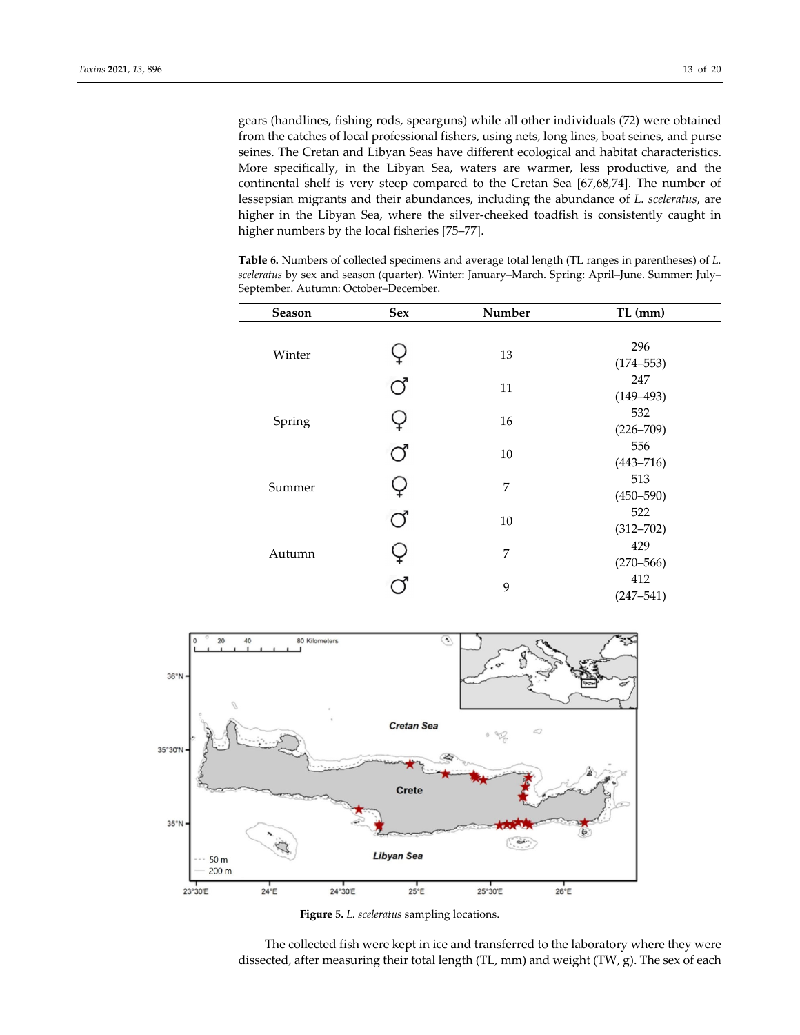gears (handlines, fishing rods, spearguns) while all other individuals (72) were obtained from the catches of local professional fishers, using nets, long lines, boat seines, and purse seines. The Cretan and Libyan Seas have different ecological and habitat characteristics. More specifically, in the Libyan Sea, waters are warmer, less productive, and the continental shelf is very steep compared to the Cretan Sea [67,68,74]. The number of lessepsian migrants and their abundances, including the abundance of *L. sceleratus*, are higher in the Libyan Sea, where the silver-cheeked toadfish is consistently caught in higher numbers by the local fisheries [75–77].

**Table 6.** Numbers of collected specimens and average total length (TL ranges in parentheses) of *L. sceleratus* by sex and season (quarter). Winter: January–March. Spring: April–June. Summer: July– September. Autumn: October–December.

| <b>Season</b> | Sex | Number | $TL$ (mm)     |
|---------------|-----|--------|---------------|
|               |     |        |               |
| Winter        |     | 13     | 296           |
|               |     |        | $(174 - 553)$ |
|               | ೧   | 11     | 247           |
|               |     |        | $(149 - 493)$ |
|               |     | 16     | 532           |
| Spring        |     |        | $(226 - 709)$ |
|               |     | 10     | 556           |
|               |     |        | $(443 - 716)$ |
| Summer        |     | 7      | 513           |
|               |     |        | $(450 - 590)$ |
|               | J   | 10     | 522           |
|               |     |        | $(312 - 702)$ |
| Autumn        |     | 7      | 429           |
|               |     |        | $(270 - 566)$ |
|               |     | 9      | 412           |
|               |     |        | $(247 - 541)$ |



**Figure 5.** *L. sceleratus* sampling locations.

The collected fish were kept in ice and transferred to the laboratory where they were dissected, after measuring their total length (TL, mm) and weight (TW, g). The sex of each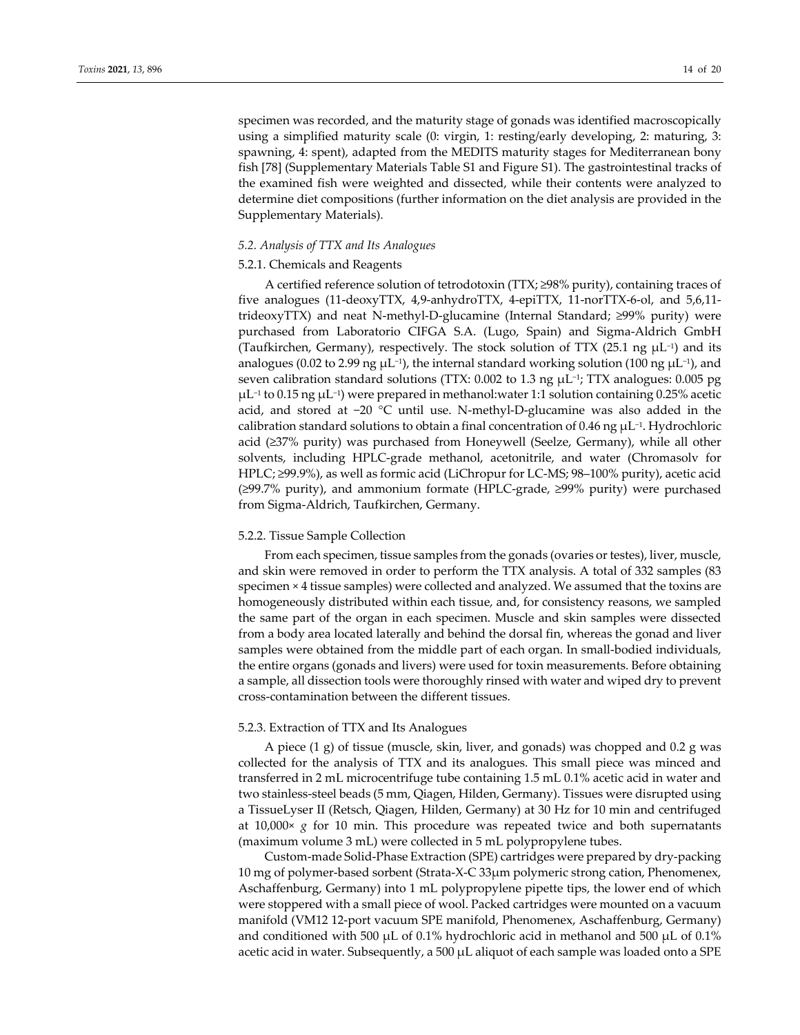specimen was recorded, and the maturity stage of gonads was identified macroscopically using a simplified maturity scale (0: virgin, 1: resting/early developing, 2: maturing, 3: spawning, 4: spent), adapted from the MEDITS maturity stages for Mediterranean bony fish [78] (Supplementary Materials Table S1 and Figure S1). The gastrointestinal tracks of the examined fish were weighted and dissected, while their contents were analyzed to determine diet compositions (further information on the diet analysis are provided in the Supplementary Materials).

## *5.2. Analysis of TTX and Its Analogues*

## 5.2.1. Chemicals and Reagents

A certified reference solution of tetrodotoxin (TTX; ≥98% purity), containing traces of five analogues (11-deoxyTTX, 4,9-anhydroTTX, 4-epiTTX, 11-norTTX-6-ol, and 5,6,11trideoxyTTX) and neat N‐methyl‐D‐glucamine (Internal Standard; ≥99% purity) were purchased from Laboratorio CIFGA S.A. (Lugo, Spain) and Sigma‐Aldrich GmbH (Taufkirchen, Germany), respectively. The stock solution of TTX (25.1 ng  $\mu$ L<sup>-1</sup>) and its analogues (0.02 to 2.99 ng  $\mu$ L<sup>-1</sup>), the internal standard working solution (100 ng  $\mu$ L<sup>-1</sup>), and seven calibration standard solutions (TTX: 0.002 to 1.3 ng μL<sup>-1</sup>; TTX analogues: 0.005 pg μL−<sup>1</sup> to 0.15 ng μL−1) were prepared in methanol:water 1:1 solution containing 0.25% acetic acid, and stored at −20 °C until use. N‐methyl‐D‐glucamine was also added in the calibration standard solutions to obtain a final concentration of 0.46 ng μL−1. Hydrochloric acid (≥37% purity) was purchased from Honeywell (Seelze, Germany), while all other solvents, including HPLC‐grade methanol, acetonitrile, and water (Chromasolv for HPLC; ≥99.9%), as well as formic acid (LiChropur for LC‐MS; 98–100% purity), acetic acid (≥99.7% purity), and ammonium formate (HPLC‐grade, ≥99% purity) were purchased from Sigma‐Aldrich, Taufkirchen, Germany.

## 5.2.2. Tissue Sample Collection

From each specimen, tissue samples from the gonads (ovaries or testes), liver, muscle, and skin were removed in order to perform the TTX analysis. A total of 332 samples (83 specimen × 4 tissue samples) were collected and analyzed. We assumed that the toxins are homogeneously distributed within each tissue, and, for consistency reasons, we sampled the same part of the organ in each specimen. Muscle and skin samples were dissected from a body area located laterally and behind the dorsal fin, whereas the gonad and liver samples were obtained from the middle part of each organ. In small-bodied individuals, the entire organs (gonads and livers) were used for toxin measurements. Before obtaining a sample, all dissection tools were thoroughly rinsed with water and wiped dry to prevent cross‐contamination between the different tissues.

#### 5.2.3. Extraction of TTX and Its Analogues

A piece (1 g) of tissue (muscle, skin, liver, and gonads) was chopped and 0.2 g was collected for the analysis of TTX and its analogues. This small piece was minced and transferred in 2 mL microcentrifuge tube containing 1.5 mL 0.1% acetic acid in water and two stainless‐steel beads (5 mm, Qiagen, Hilden, Germany). Tissues were disrupted using a TissueLyser II (Retsch, Qiagen, Hilden, Germany) at 30 Hz for 10 min and centrifuged at 10,000× *g* for 10 min. This procedure was repeated twice and both supernatants (maximum volume 3 mL) were collected in 5 mL polypropylene tubes.

Custom‐made Solid‐Phase Extraction (SPE) cartridges were prepared by dry‐packing 10 mg of polymer‐based sorbent (Strata‐X‐C 33μm polymeric strong cation, Phenomenex, Aschaffenburg, Germany) into 1 mL polypropylene pipette tips, the lower end of which were stoppered with a small piece of wool. Packed cartridges were mounted on a vacuum manifold (VM12 12‐port vacuum SPE manifold, Phenomenex, Aschaffenburg, Germany) and conditioned with 500  $\mu$ L of 0.1% hydrochloric acid in methanol and 500  $\mu$ L of 0.1% acetic acid in water. Subsequently, a 500  $\mu$ L aliquot of each sample was loaded onto a SPE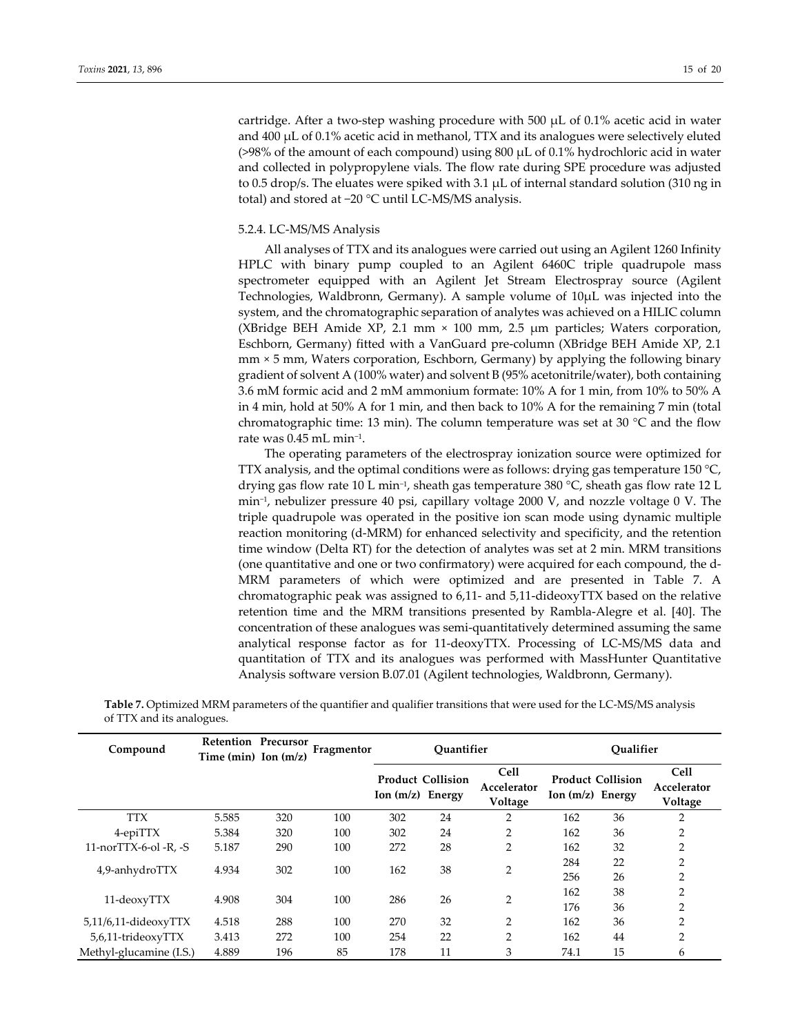cartridge. After a two-step washing procedure with 500  $\mu$ L of 0.1% acetic acid in water and 400 μL of 0.1% acetic acid in methanol, TTX and its analogues were selectively eluted (>98% of the amount of each compound) using 800 μL of 0.1% hydrochloric acid in water and collected in polypropylene vials. The flow rate during SPE procedure was adjusted to 0.5 drop/s. The eluates were spiked with 3.1 μL of internal standard solution (310 ng in total) and stored at −20 °C until LC‐MS/MS analysis.

## 5.2.4. LC‐MS/MS Analysis

All analyses of TTX and its analogues were carried out using an Agilent 1260 Infinity HPLC with binary pump coupled to an Agilent 6460C triple quadrupole mass spectrometer equipped with an Agilent Jet Stream Electrospray source (Agilent Technologies, Waldbronn, Germany). A sample volume of 10μL was injected into the system, and the chromatographic separation of analytes was achieved on a HILIC column (XBridge BEH Amide XP, 2.1 mm × 100 mm, 2.5 μm particles; Waters corporation, Eschborn, Germany) fitted with a VanGuard pre‐column (XBridge BEH Amide XP, 2.1 mm × 5 mm, Waters corporation, Eschborn, Germany) by applying the following binary gradient of solvent A (100% water) and solvent B (95% acetonitrile/water), both containing 3.6 mM formic acid and 2 mM ammonium formate: 10% A for 1 min, from 10% to 50% A in 4 min, hold at 50% A for 1 min, and then back to 10% A for the remaining 7 min (total chromatographic time: 13 min). The column temperature was set at 30  $^{\circ}$ C and the flow rate was 0.45 mL min−1.

The operating parameters of the electrospray ionization source were optimized for TTX analysis, and the optimal conditions were as follows: drying gas temperature 150  $^{\circ}$ C, drying gas flow rate 10 L min−1, sheath gas temperature 380 °C, sheath gas flow rate 12 L min−1, nebulizer pressure 40 psi, capillary voltage 2000 V, and nozzle voltage 0 V. The triple quadrupole was operated in the positive ion scan mode using dynamic multiple reaction monitoring (d‐MRM) for enhanced selectivity and specificity, and the retention time window (Delta RT) for the detection of analytes was set at 2 min. MRM transitions (one quantitative and one or two confirmatory) were acquired for each compound, the d‐ MRM parameters of which were optimized and are presented in Table 7. A chromatographic peak was assigned to 6,11‐ and 5,11‐dideoxyTTX based on the relative retention time and the MRM transitions presented by Rambla‐Alegre et al. [40]. The concentration of these analogues was semi‐quantitatively determined assuming the same analytical response factor as for 11‐deoxyTTX. Processing of LC‐MS/MS data and quantitation of TTX and its analogues was performed with MassHunter Quantitative Analysis software version B.07.01 (Agilent technologies, Waldbronn, Germany).

| Compound                   | Retention Precursor<br>Time (min) Ion $(m/z)$ |     | Fragmentor | Ouantifier         |                          |                                       |                    | Oualifier                |                                       |  |
|----------------------------|-----------------------------------------------|-----|------------|--------------------|--------------------------|---------------------------------------|--------------------|--------------------------|---------------------------------------|--|
|                            |                                               |     |            | Ion $(m/z)$ Energy | <b>Product Collision</b> | <b>Cell</b><br>Accelerator<br>Voltage | Ion $(m/z)$ Energy | <b>Product Collision</b> | <b>Cell</b><br>Accelerator<br>Voltage |  |
| <b>TTX</b>                 | 5.585                                         | 320 | 100        | 302                | 24                       | 2                                     | 162                | 36                       | 2                                     |  |
| 4-epiTTX                   | 5.384                                         | 320 | 100        | 302                | 24                       | $\overline{2}$                        | 162                | 36                       | $\overline{2}$                        |  |
| 11-norTTX-6-ol -R, -S      | 5.187                                         | 290 | 100        | 272                | 28                       | 2                                     | 162                | 32                       | $\overline{2}$                        |  |
| 4,9-anhydroTTX             | 4.934                                         | 302 | 100        | 162                | 38                       | $\overline{2}$                        | 284<br>256         | 22<br>26                 | $\overline{2}$<br>$\overline{2}$      |  |
| 11-deoxyTTX                | 4.908                                         | 304 | 100        | 286                | 26                       | $\overline{2}$                        | 162<br>176         | 38<br>36                 | $\overline{2}$<br>$\overline{2}$      |  |
| $5,11/6,11$ -dideoxy $TTX$ | 4.518                                         | 288 | 100        | 270                | 32                       | $\overline{2}$                        | 162                | 36                       | $\overline{2}$                        |  |
| 5,6,11-trideoxyTTX         | 3.413                                         | 272 | 100        | 254                | 22                       | 2                                     | 162                | 44                       | $\overline{2}$                        |  |
| Methyl-glucamine (I.S.)    | 4.889                                         | 196 | 85         | 178                | 11                       | 3                                     | 74.1               | 15                       | 6                                     |  |

**Table 7.** Optimized MRM parameters of the quantifier and qualifier transitions that were used for the LC‐MS/MS analysis of TTX and its analogues.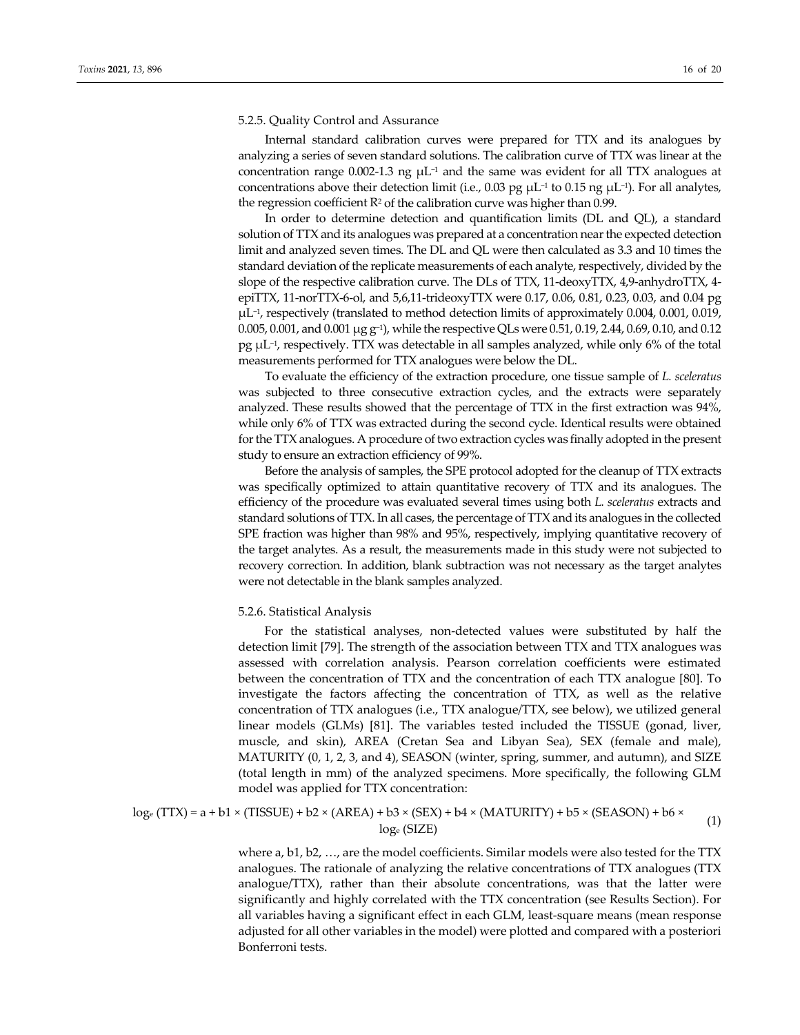#### 5.2.5. Quality Control and Assurance

Internal standard calibration curves were prepared for TTX and its analogues by analyzing a series of seven standard solutions. The calibration curve of TTX was linear at the concentration range 0.002-1.3 ng  $\mu$ L<sup>-1</sup> and the same was evident for all TTX analogues at concentrations above their detection limit (i.e., 0.03 pg μL−<sup>1</sup> to 0.15 ng μL−1). For all analytes, the regression coefficient  $\mathbb{R}^2$  of the calibration curve was higher than 0.99.

In order to determine detection and quantification limits (DL and QL), a standard solution of TTX and its analogues was prepared at a concentration nearthe expected detection limit and analyzed seven times. The DL and QL were then calculated as 3.3 and 10 times the standard deviation of the replicate measurements of each analyte, respectively, divided by the slope of the respective calibration curve. The DLs of TTX, 11-deoxyTTX, 4,9-anhydroTTX, 4epiΤΤΧ, 11‐norTTX‐6‐ol, and 5,6,11‐trideoxyTTX were 0.17, 0.06, 0.81, 0.23, 0.03, and 0.04 pg μL−1, respectively (translated to method detection limits of approximately 0.004, 0.001, 0.019, 0.005, 0.001, and 0.001 μg g−1), while the respective QLs were 0.51, 0.19, 2.44, 0.69, 0.10, and 0.12 pg μL−1, respectively. TTX was detectable in all samples analyzed, while only 6% of the total measurements performed for TTX analogues were below the DL.

To evaluate the efficiency of the extraction procedure, one tissue sample of *L. sceleratus* was subjected to three consecutive extraction cycles, and the extracts were separately analyzed. These results showed that the percentage of TTX in the first extraction was 94%, while only 6% of TTX was extracted during the second cycle. Identical results were obtained forthe TTXanalogues. A procedure oftwo extraction cycles was finally adopted in the present study to ensure an extraction efficiency of 99%.

Before the analysis of samples, the SPE protocol adopted for the cleanup of TTX extracts was specifically optimized to attain quantitative recovery of TTX and its analogues. The efficiency of the procedure was evaluated several times using both *L. sceleratus* extracts and standard solutions of TTX. In all cases, the percentage of TTX and its analogues in the collected SPE fraction was higher than 98% and 95%, respectively, implying quantitative recovery of the target analytes. As a result, the measurements made in this study were not subjected to recovery correction. In addition, blank subtraction was not necessary as the target analytes were not detectable in the blank samples analyzed.

#### 5.2.6. Statistical Analysis

For the statistical analyses, non-detected values were substituted by half the detection limit [79]. The strength of the association between TTX and TTX analogues was assessed with correlation analysis. Pearson correlation coefficients were estimated between the concentration of TTX and the concentration of each TTX analogue [80]. To investigate the factors affecting the concentration of TTX, as well as the relative concentration of TTX analogues (i.e., TTX analogue/TTX, see below), we utilized general linear models (GLMs) [81]. The variables tested included the TISSUE (gonad, liver, muscle, and skin), AREA (Cretan Sea and Libyan Sea), SEX (female and male), MATURITY (0, 1, 2, 3, and 4), SEASON (winter, spring, summer, and autumn), and SIZE (total length in mm) of the analyzed specimens. More specifically, the following GLM model was applied for TTX concentration:

 $log_e (TTX) = a + b1 \times (TISSUE) + b2 \times (AREA) + b3 \times (SEX) + b4 \times (MATURITY) + b5 \times (SEASON) + b6 \times log_e (SIZE)$ (1)

where a, b1, b2, …, are the model coefficients. Similar models were also tested for the TTX analogues. The rationale of analyzing the relative concentrations of TTX analogues (TTX analogue/TTX), rather than their absolute concentrations, was that the latter were significantly and highly correlated with the TTX concentration (see Results Section). For all variables having a significant effect in each GLM, least‐square means (mean response adjusted for all other variables in the model) were plotted and compared with a posteriori Bonferroni tests.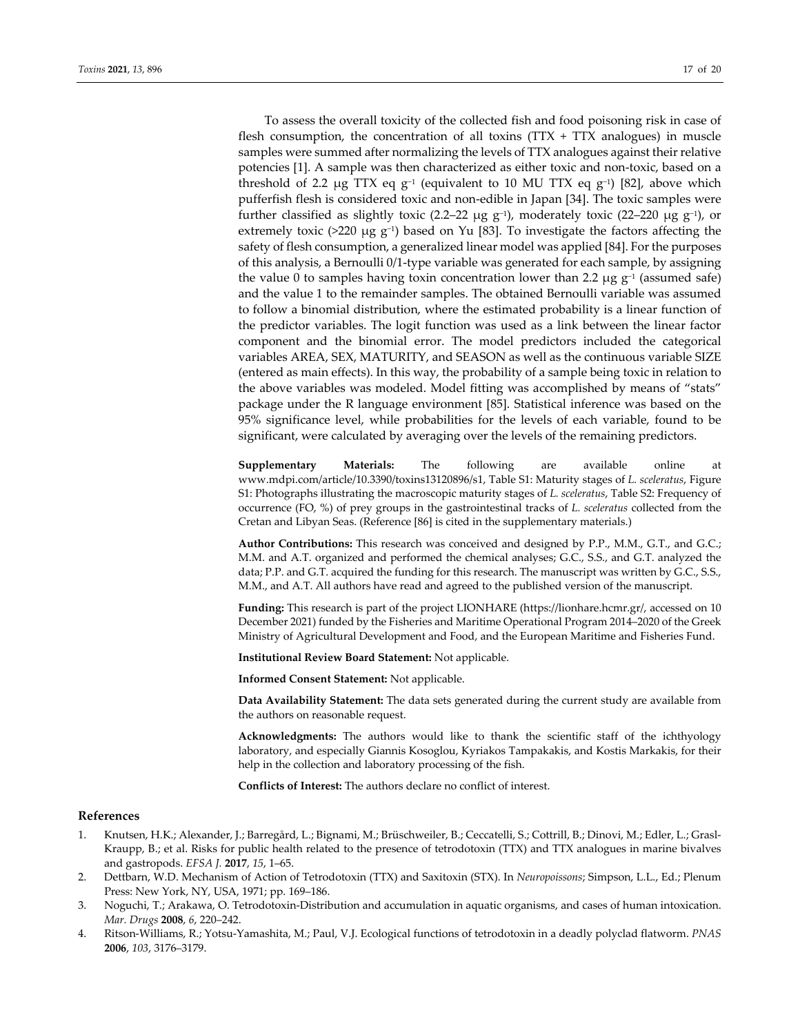To assess the overall toxicity of the collected fish and food poisoning risk in case of flesh consumption, the concentration of all toxins  $(TTX + TTX)$  analogues) in muscle samples were summed after normalizing the levels of TTX analogues against their relative potencies [1]. A sample was then characterized as either toxic and non‐toxic, based on a threshold of 2.2  $\mu$ g TTX eq g<sup>-1</sup> (equivalent to 10 MU TTX eq g<sup>-1</sup>) [82], above which pufferfish flesh is considered toxic and non‐edible in Japan [34]. The toxic samples were further classified as slightly toxic (2.2–22  $\mu$ g g<sup>-1</sup>), moderately toxic (22–220  $\mu$ g g<sup>-1</sup>), or extremely toxic (>220 µg g<sup>-1</sup>) based on Yu [83]. To investigate the factors affecting the safety of flesh consumption, a generalized linear model was applied [84]. For the purposes of this analysis, a Bernoulli 0/1‐type variable was generated for each sample, by assigning the value 0 to samples having toxin concentration lower than 2.2 µg  $g^{-1}$  (assumed safe) and the value 1 to the remainder samples. The obtained Bernoulli variable was assumed to follow a binomial distribution, where the estimated probability is a linear function of the predictor variables. The logit function was used as a link between the linear factor component and the binomial error. The model predictors included the categorical variables AREA, SEX, MATURITY, and SEASON as well as the continuous variable SIZE (entered as main effects). In this way, the probability of a sample being toxic in relation to the above variables was modeled. Model fitting was accomplished by means of "stats" package under the R language environment [85]. Statistical inference was based on the 95% significance level, while probabilities for the levels of each variable, found to be significant, were calculated by averaging over the levels of the remaining predictors.

**Supplementary Materials:** The following are available online at www.mdpi.com/article/10.3390/toxins13120896/s1, Table S1: Maturity stages of *L. sceleratus*, Figure S1: Photographs illustrating the macroscopic maturity stages of *L. sceleratus*, Table S2: Frequency of occurrence (FO, %) of prey groups in the gastrointestinal tracks of *L. sceleratus* collected from the Cretan and Libyan Seas. (Reference [86] is cited in the supplementary materials.)

**Author Contributions:** This research was conceived and designed by P.P., M.M., G.T., and G.C.; M.M. and A.T. organized and performed the chemical analyses; G.C., S.S., and G.T. analyzed the data; P.P. and G.T. acquired the funding for this research. The manuscript was written by G.C., S.S., M.M., and A.T. All authors have read and agreed to the published version of the manuscript.

**Funding:** This research is part of the project LIONHARE (https://lionhare.hcmr.gr/, accessed on 10 December 2021) funded by the Fisheries and Maritime Operational Program 2014–2020 of the Greek Ministry of Agricultural Development and Food, and the European Maritime and Fisheries Fund.

**Institutional Review Board Statement:** Not applicable.

**Informed Consent Statement:** Not applicable.

**Data Availability Statement:** The data sets generated during the current study are available from the authors on reasonable request.

**Acknowledgments:** The authors would like to thank the scientific staff of the ichthyology laboratory, and especially Giannis Kosoglou, Kyriakos Tampakakis, and Kostis Markakis, for their help in the collection and laboratory processing of the fish.

**Conflicts of Interest:** The authors declare no conflict of interest.

#### **References**

- 1. Knutsen, H.K.; Alexander, J.; Barregård, L.; Bignami, M.; Brüschweiler, B.; Ceccatelli, S.; Cottrill, B.; Dinovi, M.; Edler, L.; Grasl‐ Kraupp, B.; et al. Risks for public health related to the presence of tetrodotoxin (TTX) and TTX analogues in marine bivalves and gastropods. *EFSA J.* **2017**, *15*, 1–65.
- 2. Dettbarn, W.D. Mechanism of Action of Tetrodotoxin (TTX) and Saxitoxin (STX). In *Neuropoissons*; Simpson, L.L., Ed.; Plenum Press: New York, NY, USA, 1971; pp. 169–186.
- 3. Noguchi, T.; Arakawa, O. Tetrodotoxin‐Distribution and accumulation in aquatic organisms, and cases of human intoxication. *Mar. Drugs* **2008**, *6*, 220–242.
- 4. Ritson‐Williams, R.; Yotsu‐Yamashita, M.; Paul, V.J. Ecological functions of tetrodotoxin in a deadly polyclad flatworm. *PNAS* **2006**, *103*, 3176–3179.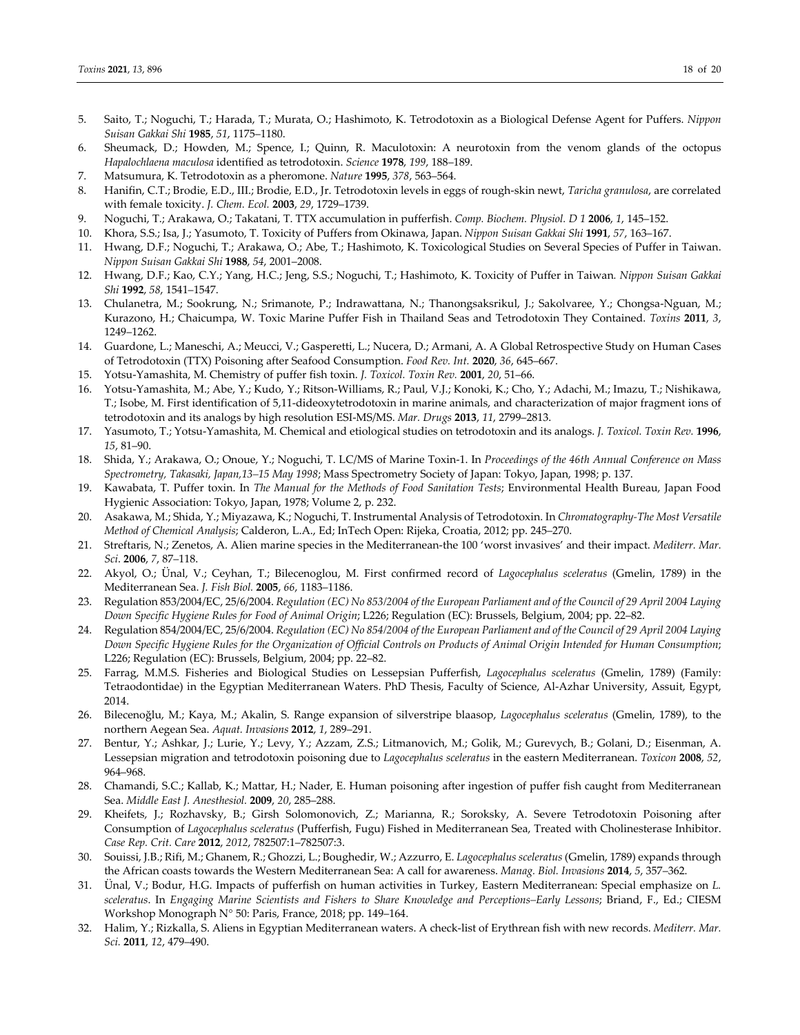- 5. Saito, T.; Noguchi, T.; Harada, T.; Murata, O.; Hashimoto, K. Tetrodotoxin as a Biological Defense Agent for Puffers. *Nippon Suisan Gakkai Shi* **1985**, *51*, 1175–1180.
- 6. Sheumack, D.; Howden, M.; Spence, I.; Quinn, R. Maculotoxin: A neurotoxin from the venom glands of the octopus *Hapalochlaena maculosa* identified as tetrodotoxin. *Science* **1978**, *199*, 188–189.
- 7. Matsumura, K. Tetrodotoxin as a pheromone. *Nature* **1995**, *378*, 563–564.
- 8. Hanifin, C.T.; Brodie, E.D., III.; Brodie, E.D., Jr. Tetrodotoxin levels in eggs of rough‐skin newt, *Taricha granulosa*, are correlated with female toxicity. *J. Chem. Ecol.* **2003**, *29*, 1729–1739.
- 9. Noguchi, T.; Arakawa, O.; Takatani, T. TTX accumulation in pufferfish. *Comp. Biochem. Physiol. D 1* **2006**, *1*, 145–152.
- 10. Khora, S.S.; Isa, J.; Yasumoto, T. Toxicity of Puffers from Okinawa, Japan. *Nippon Suisan Gakkai Shi* **1991**, *57*, 163–167.
- 11. Hwang, D.F.; Noguchi, T.; Arakawa, O.; Abe, T.; Hashimoto, K. Toxicological Studies on Several Species of Puffer in Taiwan. *Nippon Suisan Gakkai Shi* **1988**, *54*, 2001–2008.
- 12. Hwang, D.F.; Kao, C.Y.; Yang, H.C.; Jeng, S.S.; Noguchi, T.; Hashimoto, K. Toxicity of Puffer in Taiwan*. Nippon Suisan Gakkai Shi* **1992**, *58*, 1541–1547.
- 13. Chulanetra, M.; Sookrung, N.; Srimanote, P.; Indrawattana, N.; Thanongsaksrikul, J.; Sakolvaree, Y.; Chongsa‐Nguan, M.; Kurazono, H.; Chaicumpa, W. Toxic Marine Puffer Fish in Thailand Seas and Tetrodotoxin They Contained. *Toxins* **2011**, *3*, 1249–1262.
- 14. Guardone, L.; Maneschi, A.; Meucci, V.; Gasperetti, L.; Nucera, D.; Armani, A. A Global Retrospective Study on Human Cases of Tetrodotoxin (TTX) Poisoning after Seafood Consumption. *Food Rev. Int.* **2020**, *36*, 645–667.
- 15. Yotsu‐Yamashita, M. Chemistry of puffer fish toxin. *J. Toxicol. Toxin Rev.* **2001**, *20*, 51–66.
- 16. Yotsu‐Yamashita, M.; Abe, Y.; Kudo, Y.; Ritson‐Williams, R.; Paul, V.J.; Konoki, K.; Cho, Y.; Adachi, M.; Imazu, T.; Nishikawa, T.; Isobe, M. First identification of 5,11‐dideoxytetrodotoxin in marine animals, and characterization of major fragment ions of tetrodotoxin and its analogs by high resolution ESI‐MS/MS. *Mar. Drugs* **2013**, *11*, 2799–2813.
- 17. Yasumoto, T.; Yotsu‐Yamashita, M. Chemical and etiological studies on tetrodotoxin and its analogs. *J. Toxicol. Toxin Rev.* **1996**, *15*, 81–90.
- 18. Shida, Y.; Arakawa, O.; Onoue, Y.; Noguchi, T. LC/MS of Marine Toxin‐1. In *Proceedings of the 46th Annual Conference on Mass Spectrometry, Takasaki, Japan,13–15 May 1998*; Mass Spectrometry Society of Japan: Tokyo, Japan, 1998; p. 137.
- 19. Kawabata, T. Puffer toxin. In *The Manual for the Methods of Food Sanitation Tests*; Environmental Health Bureau, Japan Food Hygienic Association: Tokyo, Japan, 1978; Volume 2, p. 232.
- 20. Asakawa, M.; Shida, Y.; Miyazawa, K.; Noguchi, T. Instrumental Analysis of Tetrodotoxin. In *Chromatography‐The Most Versatile Method of Chemical Analysis*; Calderon, L.A., Ed; InTech Open: Rijeka, Croatia, 2012; pp. 245–270.
- 21. Streftaris, N.; Zenetos, A. Alien marine species in the Mediterranean‐the 100 'worst invasives' and their impact. *Mediterr. Mar. Sci*. **2006**, *7*, 87–118.
- 22. Akyol, O.; Ünal, V.; Ceyhan, T.; Bilecenoglou, M. First confirmed record of *Lagocephalus sceleratus* (Gmelin, 1789) in the Mediterranean Sea. *J. Fish Biol.* **2005**, *66*, 1183–1186.
- 23. Regulation 853/2004/EC, 25/6/2004. Regulation (EC) No 853/2004 of the European Parliament and of the Council of 29 April 2004 Laying *Down Specific Hygiene Rules for Food of Animal Origin*; L226; Regulation (EC): Brussels, Belgium, 2004; pp. 22–82.
- 24. Regulation 854/2004/EC, 25/6/2004. Regulation (EC) No 854/2004 of the European Parliament and of the Council of 29 April 2004 Laying Down Specific Hygiene Rules for the Organization of Official Controls on Products of Animal Origin Intended for Human Consumption; L226; Regulation (EC): Brussels, Belgium, 2004; pp. 22–82.
- 25. Farrag, M.M.S. Fisheries and Biological Studies on Lessepsian Pufferfish, *Lagocephalus sceleratus* (Gmelin, 1789) (Family: Tetraodontidae) in the Egyptian Mediterranean Waters. PhD Thesis, Faculty of Science, Al‐Azhar University, Assuit, Egypt, 2014.
- 26. Bilecenoğlu, M.; Kaya, M.; Akalin, S. Range expansion of silverstripe blaasop, *Lagocephalus sceleratus* (Gmelin, 1789), to the northern Aegean Sea. *Aquat. Invasions* **2012**, *1*, 289–291.
- 27. Bentur, Y.; Ashkar, J.; Lurie, Y.; Levy, Y.; Azzam, Z.S.; Litmanovich, M.; Golik, M.; Gurevych, B.; Golani, D.; Eisenman, A. Lessepsian migration and tetrodotoxin poisoning due to *Lagocephalus sceleratus* in the eastern Mediterranean. *Toxicon* **2008**, *52*, 964–968.
- 28. Chamandi, S.C.; Kallab, K.; Mattar, H.; Nader, E. Human poisoning after ingestion of puffer fish caught from Mediterranean Sea. *Middle East J. Anesthesiol.* **2009**, *20*, 285–288.
- 29. Kheifets, J.; Rozhavsky, B.; Girsh Solomonovich, Z.; Marianna, R.; Soroksky, A. Severe Tetrodotoxin Poisoning after Consumption of *Lagocephalus sceleratus* (Pufferfish, Fugu) Fished in Mediterranean Sea, Treated with Cholinesterase Inhibitor. *Case Rep. Crit. Care* **2012**, *2012*, 782507:1–782507:3.
- 30. Souissi, J.B.; Rifi, M.; Ghanem, R.; Ghozzi, L.; Boughedir, W.; Azzurro, E. *Lagocephalus sceleratus* (Gmelin, 1789) expands through the African coasts towards the Western Mediterranean Sea: A call for awareness. *Manag. Biol. Invasions* **2014**, *5*, 357–362.
- 31. Ünal, V.; Bodur, H.G. Impacts of pufferfish on human activities in Turkey, Eastern Mediterranean: Special emphasize on *L. sceleratus*. In *Engaging Marine Scientists and Fishers to Share Knowledge and Perceptions–Early Lessons*; Briand, F., Ed.; CIESM Workshop Monograph N° 50: Paris, France, 2018; pp. 149–164.
- 32. Halim, Y.; Rizkalla, S. Aliens in Egyptian Mediterranean waters. A check‐list of Erythrean fish with new records. *Mediterr. Mar. Sci.* **2011**, *12*, 479–490.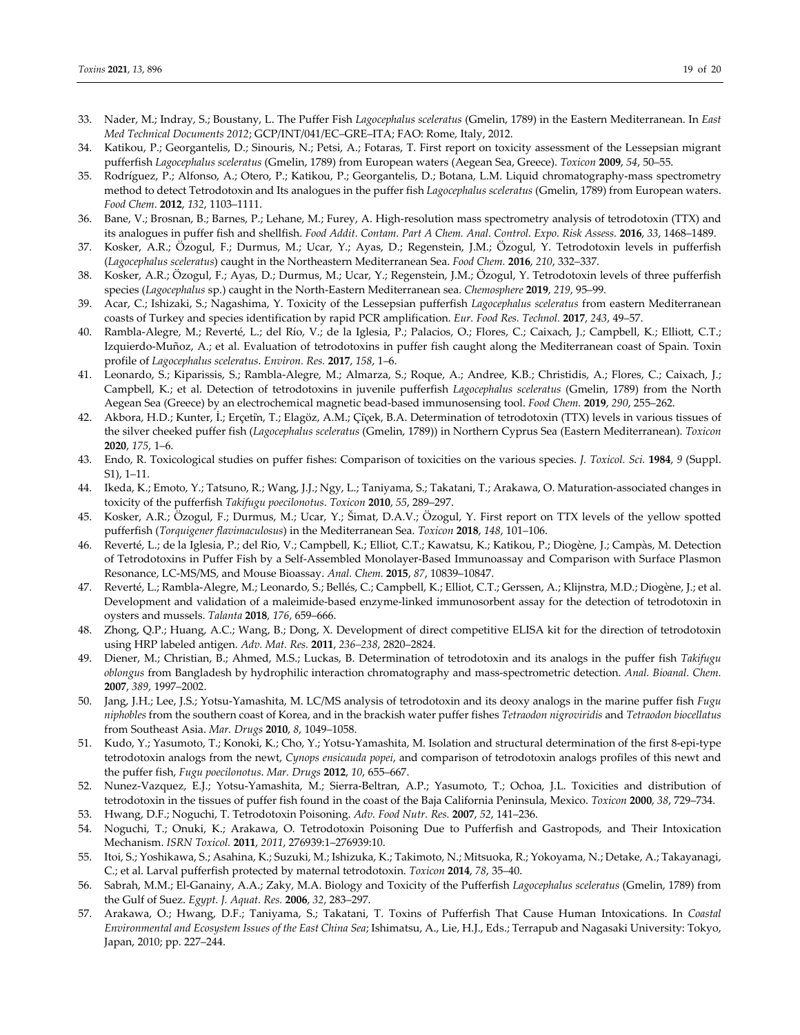- 33. Nader, M.; Indray, S.; Boustany, L. The Puffer Fish *Lagocephalus sceleratus* (Gmelin, 1789) in the Eastern Mediterranean. In *East Med Technical Documents 2012*; GCP/INT/041/EC–GRE–ITA; FAO: Rome, Italy, 2012.
- 34. Katikou, P.; Georgantelis, D.; Sinouris, N.; Petsi, A.; Fotaras, T. First report on toxicity assessment of the Lessepsian migrant pufferfish *Lagocephalus sceleratus* (Gmelin, 1789) from European waters (Aegean Sea, Greece). *Toxicon* **2009**, *54*, 50–55.
- 35. Rodríguez, P.; Alfonso, A.; Otero, P.; Katikou, P.; Georgantelis, D.; Botana, L.M. Liquid chromatography‐mass spectrometry method to detect Tetrodotoxin and Its analogues in the puffer fish *Lagocephalus sceleratus* (Gmelin, 1789) from European waters. *Food Chem*. **2012**, *132*, 1103–1111.
- 36. Bane, V.; Brosnan, B.; Barnes, P.; Lehane, M.; Furey, A. High-resolution mass spectrometry analysis of tetrodotoxin (TTX) and its analogues in puffer fish and shellfish. *Food Addit. Contam. Part A Chem. Anal. Control. Expo. Risk Assess.* **2016**, *33*, 1468–1489.
- 37. Kosker, A.R.; Özogul, F.; Durmus, M.; Ucar, Y.; Ayas, D.; Regenstein, J.M.; Özogul, Y. Tetrodotoxin levels in pufferfish (*Lagocephalus sceleratus*) caught in the Northeastern Mediterranean Sea. *Food Chem.* **2016**, *210*, 332–337.
- 38. Kosker, A.R.; Özogul, F.; Ayas, D.; Durmus, M.; Ucar, Y.; Regenstein, J.M.; Özogul, Y. Tetrodotoxin levels of three pufferfish species (*Lagocephalus* sp.) caught in the North‐Eastern Mediterranean sea. *Chemosphere* **2019**, *219*, 95–99.
- 39. Acar, C.; Ishizaki, S.; Nagashima, Y. Toxicity of the Lessepsian pufferfish *Lagocephalus sceleratus* from eastern Mediterranean coasts of Turkey and species identification by rapid PCR amplification. *Eur. Food Res. Technol.* **2017**, *243*, 49–57.
- 40. Rambla‐Alegre, M.; Reverté, L.; del Río, V.; de la Iglesia, P.; Palacios, O.; Flores, C.; Caixach, J.; Campbell, K.; Elliott, C.T.; Izquierdo‐Muñoz, A.; et al. Evaluation of tetrodotoxins in puffer fish caught along the Mediterranean coast of Spain. Toxin profile of *Lagocephalus sceleratus*. *Environ. Res.* **2017**, *158*, 1–6.
- 41. Leonardo, S.; Kiparissis, S.; Rambla-Alegre, M.; Almarza, S.; Roque, A.; Andree, K.B.; Christidis, A.; Flores, C.; Caixach, J.; Campbell, K.; et al. Detection of tetrodotoxins in juvenile pufferfish *Lagocephalus sceleratus* (Gmelin, 1789) from the North Aegean Sea (Greece) by an electrochemical magnetic bead‐based immunosensing tool. *Food Chem.* **2019**, *290*, 255–262.
- 42. Akbora, H.D.; Kunter, İ.; Erçeti̇n, T.; Elagöz, A.M.; Çi̇çek, B.A. Determination of tetrodotoxin (TTX) levels in various tissues of the silver cheeked puffer fish (*Lagocephalus sceleratus* (Gmelin, 1789)) in Northern Cyprus Sea (Eastern Mediterranean). *Toxicon* **2020**, *175*, 1–6.
- 43. Endo, R. Toxicological studies on puffer fishes: Comparison of toxicities on the various species. *J. Toxicol. Sci.* **1984**, *9* (Suppl. S1), 1–11.
- 44. Ikeda, K.; Emoto, Y.; Tatsuno, R.; Wang, J.J.; Ngy, L.; Taniyama, S.; Takatani, T.; Arakawa, O. Maturation‐associated changes in toxicity of the pufferfish *Takifugu poecilonotus*. *Toxicon* **2010**, *55*, 289–297.
- 45. Kosker, A.R.; Özogul, F.; Durmus, M.; Ucar, Y.; Šimat, D.A.V.; Özogul, Y. First report on TTX levels of the yellow spotted pufferfish (*Torquigener flavimaculosus*) in the Mediterranean Sea. *Toxicon* **2018**, *148*, 101–106.
- 46. Reverté, L.; de la Iglesia, P.; del Rio, V.; Campbell, K.; Elliot, C.T.; Kawatsu, K.; Katikou, P.; Diogène, J.; Campàs, M. Detection of Tetrodotoxins in Puffer Fish by a Self‐Assembled Monolayer‐Based Immunoassay and Comparison with Surface Plasmon Resonance, LC‐MS/MS, and Mouse Bioassay. *Anal. Chem.* **2015**, *87*, 10839–10847.
- 47. Reverté, L.; Rambla‐Alegre, M.; Leonardo, S.; Bellés, C.; Campbell, K.; Elliot, C.T.; Gerssen, A.; Klijnstra, M.D.; Diogène, J.; et al. Development and validation of a maleimide‐based enzyme‐linked immunosorbent assay for the detection of tetrodotoxin in oysters and mussels. *Talanta* **2018**, *176*, 659–666.
- 48. Zhong, Q.P.; Huang, A.C.; Wang, B.; Dong, X. Development of direct competitive ELISA kit for the direction of tetrodotoxin using HRP labeled antigen. *Adv. Mat. Res.* **2011**, *236–238*, 2820–2824.
- 49. Diener, M.; Christian, B.; Ahmed, M.S.; Luckas, B. Determination of tetrodotoxin and its analogs in the puffer fish *Takifugu oblongus* from Bangladesh by hydrophilic interaction chromatography and mass‐spectrometric detection. *Anal. Bioanal. Chem.* **2007**, *389*, 1997–2002.
- 50. Jang, J.H.; Lee, J.S.; Yotsu‐Yamashita, M. LC/MS analysis of tetrodotoxin and its deoxy analogs in the marine puffer fish *Fugu niphobles* from the southern coast of Korea, and in the brackish water puffer fishes *Tetraodon nigroviridis* and *Tetraodon biocellatus* from Southeast Asia. *Mar. Drugs* **2010**, *8*, 1049–1058.
- 51. Kudo, Y.; Yasumoto, T.; Konoki, K.; Cho, Y.; Yotsu‐Yamashita, M. Isolation and structural determination of the first 8‐epi‐type tetrodotoxin analogs from the newt, *Cynops ensicauda popei*, and comparison of tetrodotoxin analogs profiles of this newt and the puffer fish, *Fugu poecilonotus*. *Mar. Drugs* **2012**, *10*, 655–667.
- 52. Nunez‐Vazquez, E.J.; Yotsu‐Yamashita, M.; Sierra‐Beltran, A.P.; Yasumoto, T.; Ochoa, J.L. Toxicities and distribution of tetrodotoxin in the tissues of puffer fish found in the coast of the Baja California Peninsula, Mexico. *Toxicon* **2000**, *38*, 729–734.
- 53. Hwang, D.F.; Noguchi, T. Tetrodotoxin Poisoning. *Adv. Food Nutr. Res.* **2007**, *52*, 141–236.
- 54. Noguchi, T.; Onuki, K.; Arakawa, O. Tetrodotoxin Poisoning Due to Pufferfish and Gastropods, and Their Intoxication Mechanism. *ISRN Toxicol.* **2011**, *2011*, 276939:1–276939:10.
- 55. Itoi, S.; Yoshikawa, S.; Asahina, K.; Suzuki, M.; Ishizuka, K.; Takimoto, N.; Mitsuoka, R.; Yokoyama, N.; Detake, A.; Takayanagi, C.; et al. Larval pufferfish protected by maternal tetrodotoxin. *Toxicon* **2014**, *78*, 35–40.
- 56. Sabrah, M.M.; El‐Ganainy, A.A.; Zaky, M.A. Biology and Toxicity of the Pufferfish *Lagocephalus sceleratus* (Gmelin, 1789) from the Gulf of Suez. *Egypt. J. Aquat. Res.* **2006**, *32*, 283–297.
- 57. Arakawa, O.; Hwang, D.F.; Taniyama, S.; Takatani, T. Toxins of Pufferfish That Cause Human Intoxications. In *Coastal Environmental and Ecosystem Issues of the East China Sea*; Ishimatsu, A., Lie, H.J., Eds.; Terrapub and Nagasaki University: Tokyo, Japan, 2010; pp. 227–244.